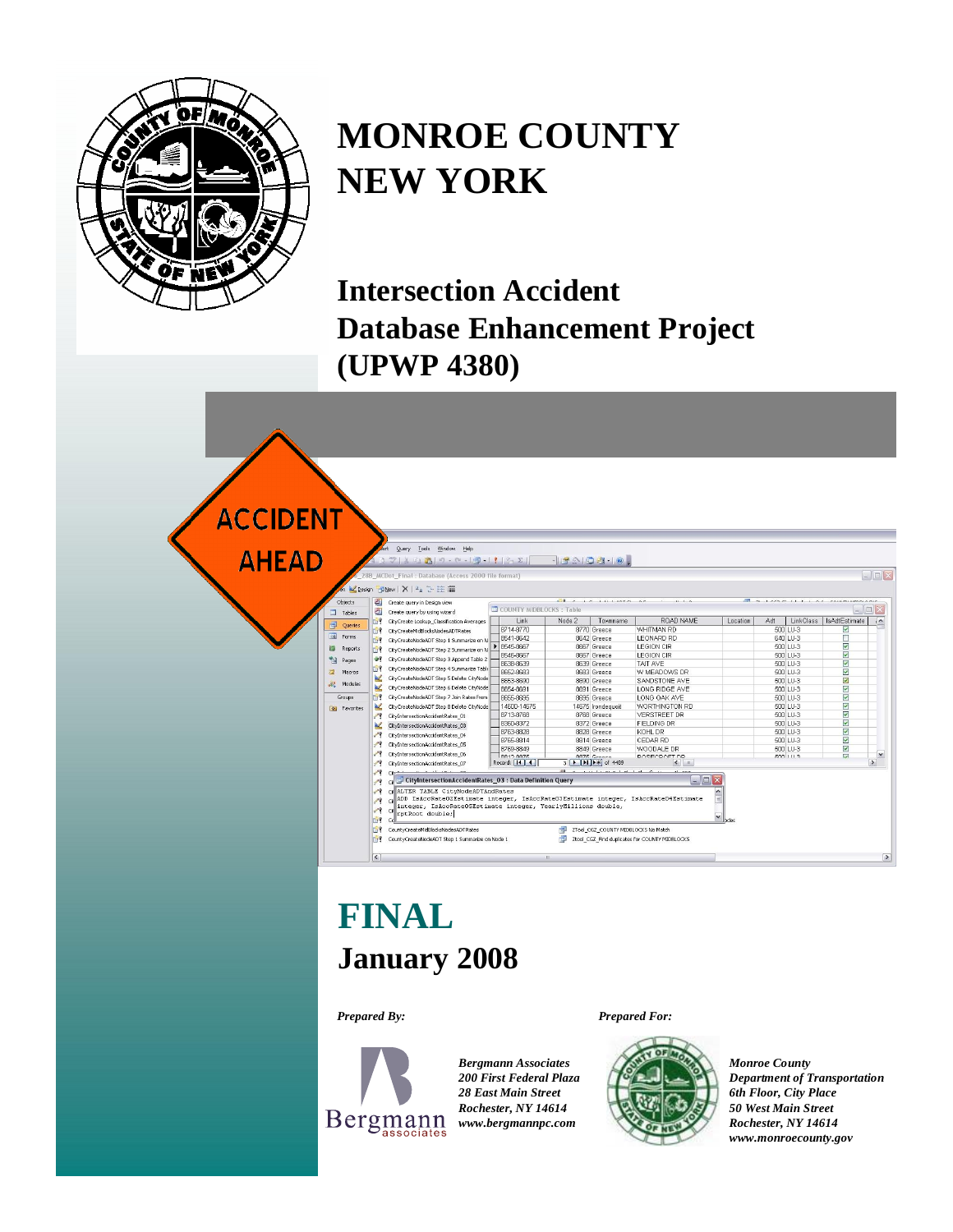

# **MONROE COUNTY NEW YORK**

**Intersection Accident Database Enhancement Project (UPWP 4380)**

| <b>CCIDENT</b><br><b>AHEAD</b> |                                                                                                                                                          |                                                                                                                                                                  | sert Query Tools Window Help<br>3 ツメロスロ·ロ·ロ·コ·19-21<br>28B_MCDot_Final: Database (Access 2000 file format)                                                                                                                                                                                                                                                                                                                                                                                                                                                                                                                                                         |                                                                                                                                                                                                                                          |        | -19003-0                                                                                                                                                                                                                                                                                                                                         |                                                                                                                                                                                                                                                                                                   |          |                                                                                                                                                                                                    |           |                                                                                                                                                                                                                                                                                                               | $\Box$ D $\times$                          |
|--------------------------------|----------------------------------------------------------------------------------------------------------------------------------------------------------|------------------------------------------------------------------------------------------------------------------------------------------------------------------|--------------------------------------------------------------------------------------------------------------------------------------------------------------------------------------------------------------------------------------------------------------------------------------------------------------------------------------------------------------------------------------------------------------------------------------------------------------------------------------------------------------------------------------------------------------------------------------------------------------------------------------------------------------------|------------------------------------------------------------------------------------------------------------------------------------------------------------------------------------------------------------------------------------------|--------|--------------------------------------------------------------------------------------------------------------------------------------------------------------------------------------------------------------------------------------------------------------------------------------------------------------------------------------------------|---------------------------------------------------------------------------------------------------------------------------------------------------------------------------------------------------------------------------------------------------------------------------------------------------|----------|----------------------------------------------------------------------------------------------------------------------------------------------------------------------------------------------------|-----------|---------------------------------------------------------------------------------------------------------------------------------------------------------------------------------------------------------------------------------------------------------------------------------------------------------------|--------------------------------------------|
|                                | Objects                                                                                                                                                  | 희                                                                                                                                                                | en IL Design Til New   X   42 1 3 15 111<br>Create query in Design view                                                                                                                                                                                                                                                                                                                                                                                                                                                                                                                                                                                            |                                                                                                                                                                                                                                          | and an | <b>LA LALIANA AA</b>                                                                                                                                                                                                                                                                                                                             | 11.11                                                                                                                                                                                                                                                                                             |          |                                                                                                                                                                                                    |           | and we can ask that a construction of the                                                                                                                                                                                                                                                                     |                                            |
|                                | Tables                                                                                                                                                   | 困                                                                                                                                                                | Create query by using wizard                                                                                                                                                                                                                                                                                                                                                                                                                                                                                                                                                                                                                                       | COUNTY MIDBLOCKS: Table                                                                                                                                                                                                                  |        |                                                                                                                                                                                                                                                                                                                                                  |                                                                                                                                                                                                                                                                                                   |          |                                                                                                                                                                                                    |           |                                                                                                                                                                                                                                                                                                               | EX                                         |
|                                | 司<br>Queries<br>国<br>Forms<br><b>ISI</b><br>Reports<br>憎<br>Pages<br>$\overline{a}$<br>Macros<br>$\mathbb{Z}^{\circ}$<br>Modules<br>Groups.<br>Favorites | $-11$<br><b>Bill</b><br><b>ISP</b><br><b>SILLER</b><br>$+2$<br><b>Bir</b><br>$\mathcal{L}$<br>$\mathbb{Z}$<br>雪<br>$\mathbb{Z}$<br>$\mathscr{P}$<br>W.<br>$\sim$ | CityCreate Lookup Classification Averages<br>CityCreateMidBlocksNodesADTRates<br>CityCreateNodeADT Step 1 Summarize on N<br>CityCreateNodeADT Step 2 Summarize on N<br>CityCreateNodeADT Step 3 Append Table 2<br>CityCreateNodeADT Step 4 Summarize Table<br>CityCreateNodeADT Step 5 Delete CityNode<br>CityCreateNodeADT Step 6 Delete CityNode<br>CityCreateNodeADT Step 7 Join Rates from<br>CityCreateNodeADT Step 8 Delete CityNode<br>CityIntersectionAccidentRates 01<br>CityIntersectionAccidentRates 03<br>CityIntersectionAccidentRates 04<br>CityIntersectionAccidentRates_05<br>CityIntersectionAccidentRates 06<br>CityIntersectionAccidentRates 07 | Link<br>8714-8770<br>8541-8642<br>▶ 8545-8667<br>8546-8667<br>8638-8639<br>8652-8683<br>8653-8690<br>8654-8691<br>8655-8695<br>14600-14675<br>8713-8768<br>8360-8372<br>8763-8828<br>8765-8814<br>8769-8849<br>0917 0976<br>Record: 14 4 | Node 2 | Townname<br>8770 Greece<br>8642 Greece<br>8667 Greece<br>8667 Greece<br>8639 Greece<br>8683 Greece<br>8690 Greece<br>8691 Greece<br>8695 Greece<br>14675 Irondeauoit<br>8768 Greece<br>8372 Greece<br>8828 Greece<br>8814 Greece<br>8849 Greece<br>BR75 Croone<br>$3$ $\rightarrow$ $\rightarrow$ $\rightarrow$ $\rightarrow$ $\rightarrow$ 4489 | ROAD NAME<br>WHITMAN RD<br>LEONARD RD<br>LEGION CIR<br>LEGION CIR<br>TAIT AVE<br>W MEADOWS DR<br>SANDSTONE AVE<br>LONG RIDGE AVE<br>LONG OAK AVE<br>WORTHINGTON RD<br><b>VERSTREET DR</b><br><b>FIELDING DR</b><br>KOHL DR<br>CEDAR RD<br>WOODALE DR<br>DORECDOFT DD<br>$\leftarrow$ $\leftarrow$ | Location | Adt<br>500 LU-3<br>640 LU-3<br>500 LU-3<br>500 LU-3<br>500 LU-3<br>500 LU-3<br>500 LU-3<br>500 LU-3<br>500 LU-3<br>500 LU-3<br>500 LU-3<br>500 LU-3<br>500 LU-3<br>500 LU-3<br>500 LU-3<br>2001112 | LinkClass | IsAdtEstimate<br>M<br>п<br>$\overline{\mathbf{v}}$<br>Ø<br>☑<br>$\overline{\mathsf{v}}$<br>$\overline{\mathbf{S}}$<br>$\overline{\mathbf{v}}$<br>$\overline{\mathsf{v}}$<br>$\overline{\mathsf{v}}$<br>$\overline{\mathbf{v}}$<br>$\overline{\mathsf{v}}$<br>$\blacktriangledown$<br>☑<br>☑<br>$\overline{u}$ | $, \wedge$<br>$\check{ }$<br>$\rightarrow$ |
|                                |                                                                                                                                                          | $\sim$<br><b>SP</b><br>$\mathbb{R}^2$<br><b>ISP</b><br>$\vert \langle \vert$                                                                                     | CityIntersectionAccidentRates_03 : Data Definition Query<br>сŧ<br>CHALTER TABLE CityNodeADTAndRates<br>ADD IsAccRateO2Estimate integer, IsAccRateO3Estimate integer, IsAccRateO4Estimate<br>integer, IsAccRateOSEstimate integer, YearlyMillions double,<br>Ci<br>rptRoot double;<br>CountyCreateMidBlocksNodesADTRates<br>CountyCreateNodeADT Step 1 Summarize on Node 1                                                                                                                                                                                                                                                                                          |                                                                                                                                                                                                                                          | ins.   | 2Tool_CGZ_COUNTY MIDBLOCKS No Match                                                                                                                                                                                                                                                                                                              | $ \blacksquare$ $\times$<br>$\checkmark$<br>Ztool CGZ Find duplicates for COUNTY MIDBLOCKS                                                                                                                                                                                                        |          |                                                                                                                                                                                                    |           |                                                                                                                                                                                                                                                                                                               | $\rightarrow$                              |

# **January 2008 FINAL**

*Prepared By:*



*Bergmann Associates 200 First Federal Plaza 28 East Main Street Rochester, NY 14614 [www.bergmannpc.com](http://www.bergmannpc.com)*

*Prepared For:*



*Monroe County Department of Transportation 6th Floor, City Place 50 West Main Street Rochester, NY 14614 [www.monroecounty.gov](http://www.monroecounty.gov)*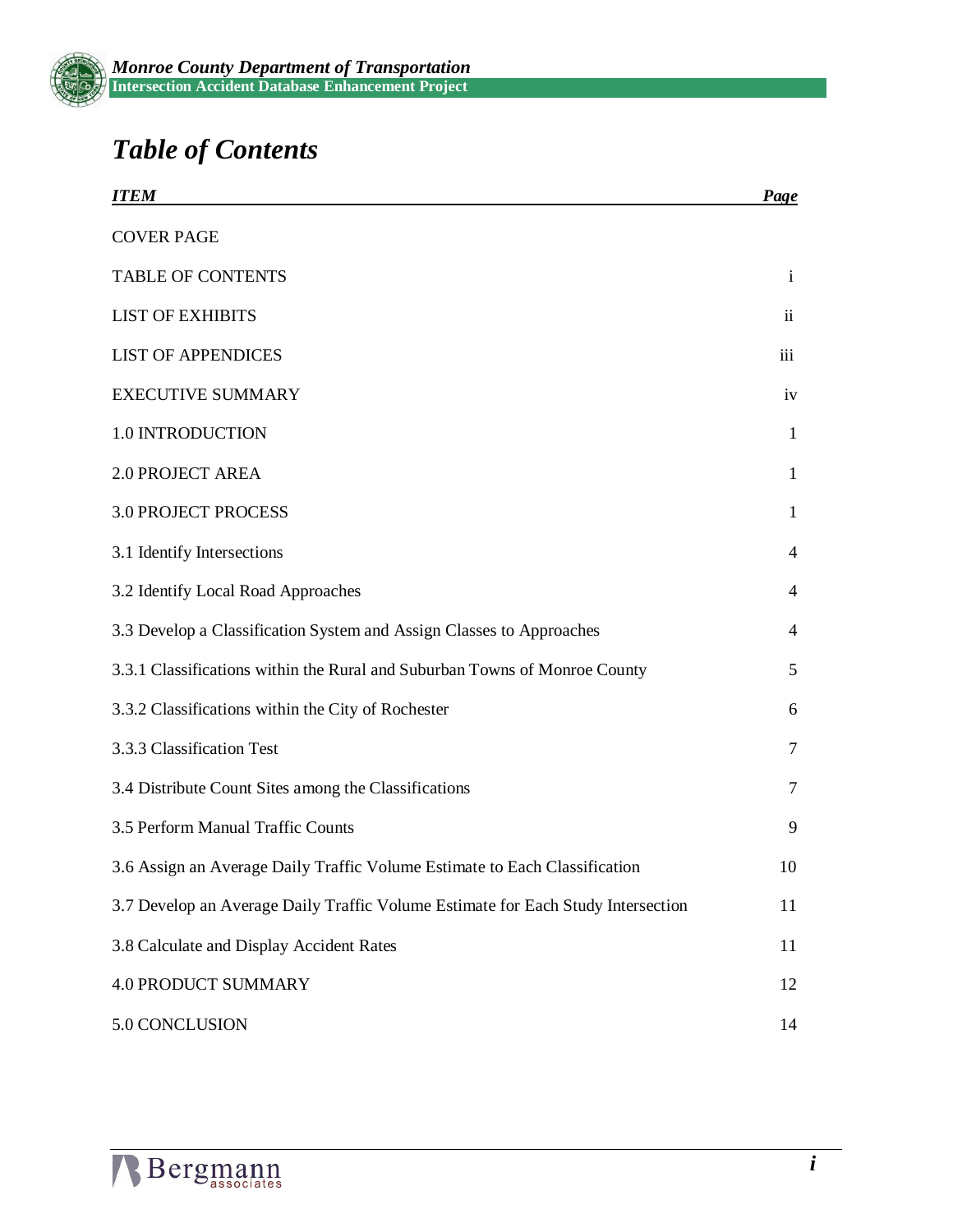

# *Table of Contents*

| <b>ITEM</b>                                                                      | Page                |
|----------------------------------------------------------------------------------|---------------------|
| <b>COVER PAGE</b>                                                                |                     |
| <b>TABLE OF CONTENTS</b>                                                         | $\mathbf{i}$        |
| <b>LIST OF EXHIBITS</b>                                                          | $\ddot{\mathbf{i}}$ |
| <b>LIST OF APPENDICES</b>                                                        | iii                 |
| <b>EXECUTIVE SUMMARY</b>                                                         | iv                  |
| 1.0 INTRODUCTION                                                                 | $\mathbf{1}$        |
| <b>2.0 PROJECT AREA</b>                                                          | 1                   |
| <b>3.0 PROJECT PROCESS</b>                                                       | 1                   |
| 3.1 Identify Intersections                                                       | 4                   |
| 3.2 Identify Local Road Approaches                                               | 4                   |
| 3.3 Develop a Classification System and Assign Classes to Approaches             | $\overline{4}$      |
| 3.3.1 Classifications within the Rural and Suburban Towns of Monroe County       | 5                   |
| 3.3.2 Classifications within the City of Rochester                               | 6                   |
| 3.3.3 Classification Test                                                        | $\tau$              |
| 3.4 Distribute Count Sites among the Classifications                             | 7                   |
| 3.5 Perform Manual Traffic Counts                                                | 9                   |
| 3.6 Assign an Average Daily Traffic Volume Estimate to Each Classification       | 10                  |
| 3.7 Develop an Average Daily Traffic Volume Estimate for Each Study Intersection | 11                  |
| 3.8 Calculate and Display Accident Rates                                         | 11                  |
| <b>4.0 PRODUCT SUMMARY</b>                                                       | 12                  |
| 5.0 CONCLUSION                                                                   | 14                  |

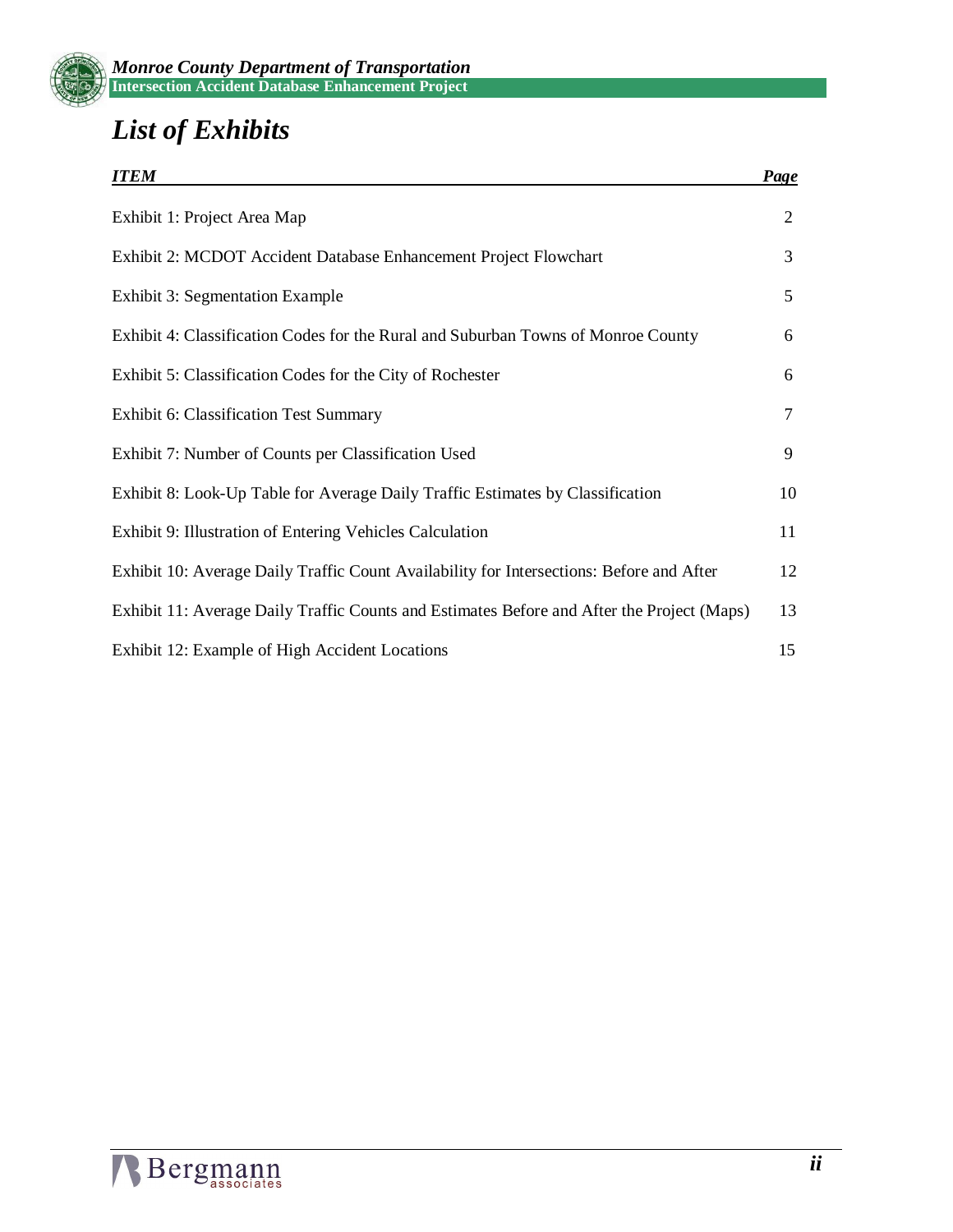

# *List of Exhibits*

| <b>ITEM</b>                                                                                | <b>Page</b>    |
|--------------------------------------------------------------------------------------------|----------------|
| Exhibit 1: Project Area Map                                                                | $\overline{2}$ |
| Exhibit 2: MCDOT Accident Database Enhancement Project Flowchart                           | 3              |
| <b>Exhibit 3: Segmentation Example</b>                                                     | 5              |
| Exhibit 4: Classification Codes for the Rural and Suburban Towns of Monroe County          | 6              |
| Exhibit 5: Classification Codes for the City of Rochester                                  | 6              |
| <b>Exhibit 6: Classification Test Summary</b>                                              | 7              |
| Exhibit 7: Number of Counts per Classification Used                                        | 9              |
| Exhibit 8: Look-Up Table for Average Daily Traffic Estimates by Classification             | 10             |
| Exhibit 9: Illustration of Entering Vehicles Calculation                                   | 11             |
| Exhibit 10: Average Daily Traffic Count Availability for Intersections: Before and After   | 12             |
| Exhibit 11: Average Daily Traffic Counts and Estimates Before and After the Project (Maps) | 13             |
| Exhibit 12: Example of High Accident Locations                                             | 15             |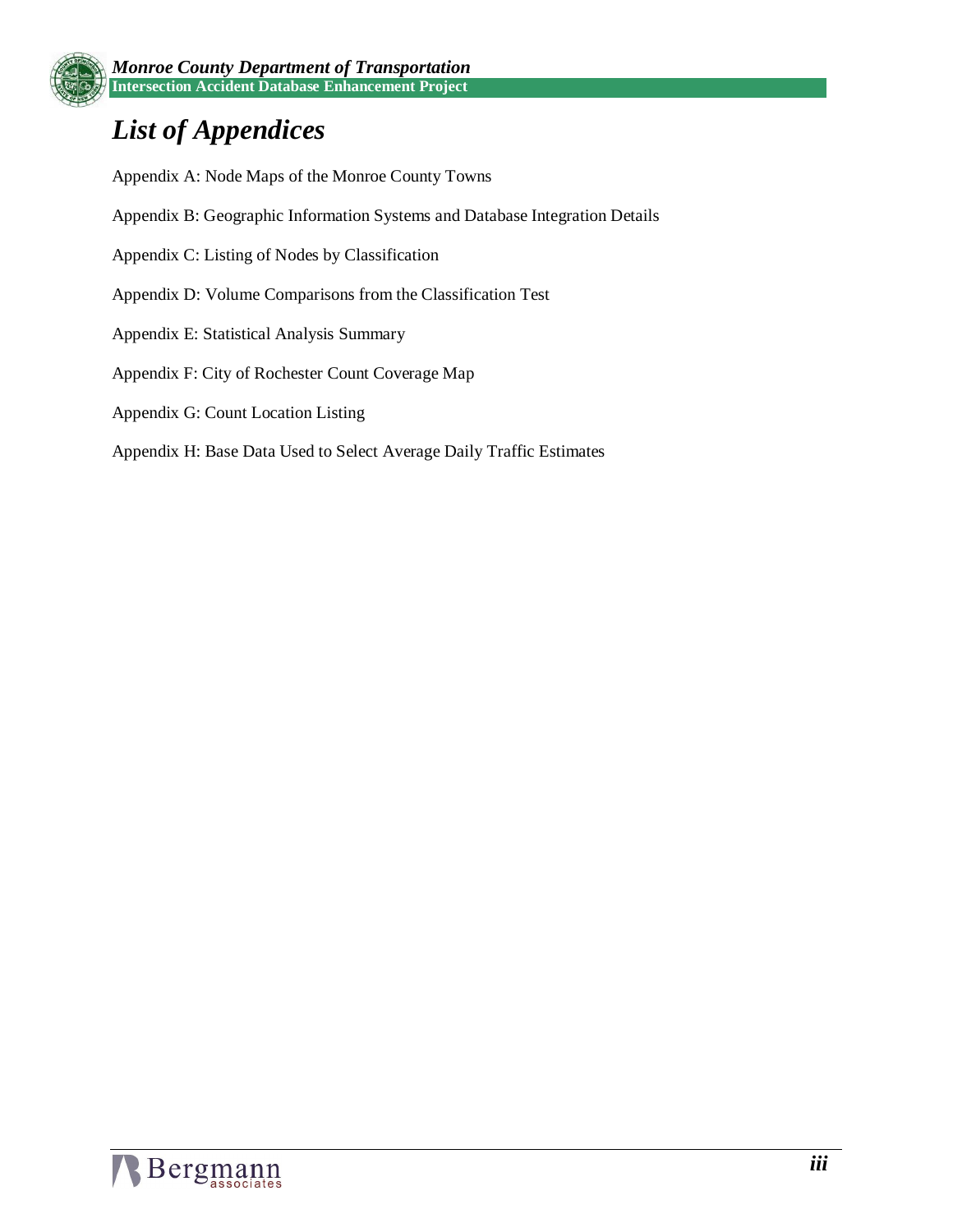# *List of Appendices*

Appendix A: Node Maps of the Monroe County Towns

- Appendix B: Geographic Information Systems and Database Integration Details
- Appendix C: Listing of Nodes by Classification
- Appendix D: Volume Comparisons from the Classification Test
- Appendix E: Statistical Analysis Summary
- Appendix F: City of Rochester Count Coverage Map
- Appendix G: Count Location Listing
- Appendix H: Base Data Used to Select Average Daily Traffic Estimates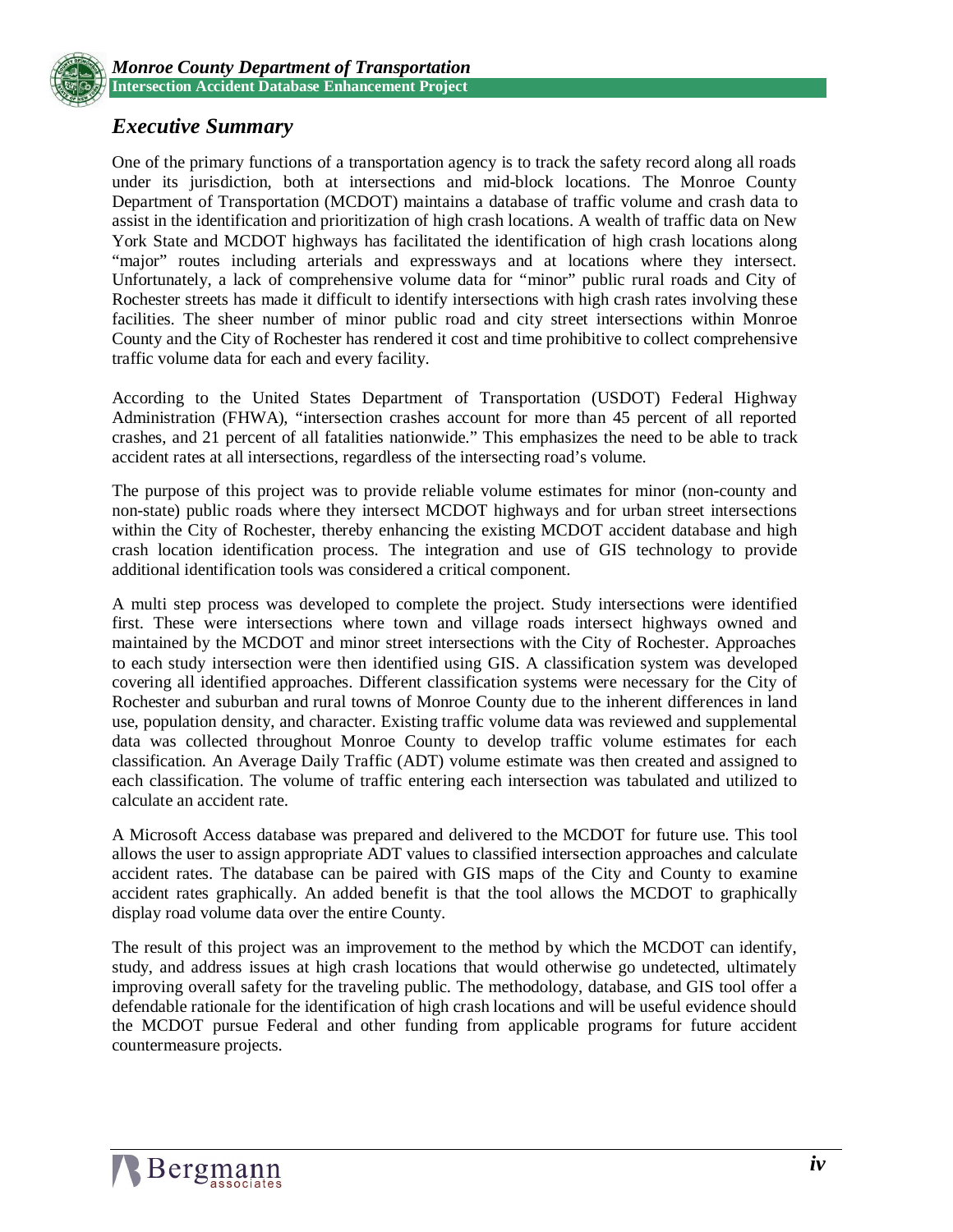

### *Executive Summary*

One of the primary functions of a transportation agency is to track the safety record along all roads under its jurisdiction, both at intersections and mid-block locations. The Monroe County Department of Transportation (MCDOT) maintains a database of traffic volume and crash data to assist in the identification and prioritization of high crash locations. A wealth of traffic data on New York State and MCDOT highways has facilitated the identification of high crash locations along "major" routes including arterials and expressways and at locations where they intersect. Unfortunately, a lack of comprehensive volume data for "minor" public rural roads and City of Rochester streets has made it difficult to identify intersections with high crash rates involving these facilities. The sheer number of minor public road and city street intersections within Monroe County and the City of Rochester has rendered it cost and time prohibitive to collect comprehensive traffic volume data for each and every facility.

According to the United States Department of Transportation (USDOT) Federal Highway Administration (FHWA), "intersection crashes account for more than 45 percent of all reported crashes, and 21 percent of all fatalities nationwide." This emphasizes the need to be able to track accident rates at all intersections, regardless of the intersecting road's volume.

The purpose of this project was to provide reliable volume estimates for minor (non-county and non-state) public roads where they intersect MCDOT highways and for urban street intersections within the City of Rochester, thereby enhancing the existing MCDOT accident database and high crash location identification process. The integration and use of GIS technology to provide additional identification tools was considered a critical component.

A multi step process was developed to complete the project. Study intersections were identified first. These were intersections where town and village roads intersect highways owned and maintained by the MCDOT and minor street intersections with the City of Rochester. Approaches to each study intersection were then identified using GIS. A classification system was developed covering all identified approaches. Different classification systems were necessary for the City of Rochester and suburban and rural towns of Monroe County due to the inherent differences in land use, population density, and character. Existing traffic volume data was reviewed and supplemental data was collected throughout Monroe County to develop traffic volume estimates for each classification. An Average Daily Traffic (ADT) volume estimate was then created and assigned to each classification. The volume of traffic entering each intersection was tabulated and utilized to calculate an accident rate.

A Microsoft Access database was prepared and delivered to the MCDOT for future use. This tool allows the user to assign appropriate ADT values to classified intersection approaches and calculate accident rates. The database can be paired with GIS maps of the City and County to examine accident rates graphically. An added benefit is that the tool allows the MCDOT to graphically display road volume data over the entire County.

The result of this project was an improvement to the method by which the MCDOT can identify, study, and address issues at high crash locations that would otherwise go undetected, ultimately improving overall safety for the traveling public. The methodology, database, and GIS tool offer a defendable rationale for the identification of high crash locations and will be useful evidence should the MCDOT pursue Federal and other funding from applicable programs for future accident countermeasure projects.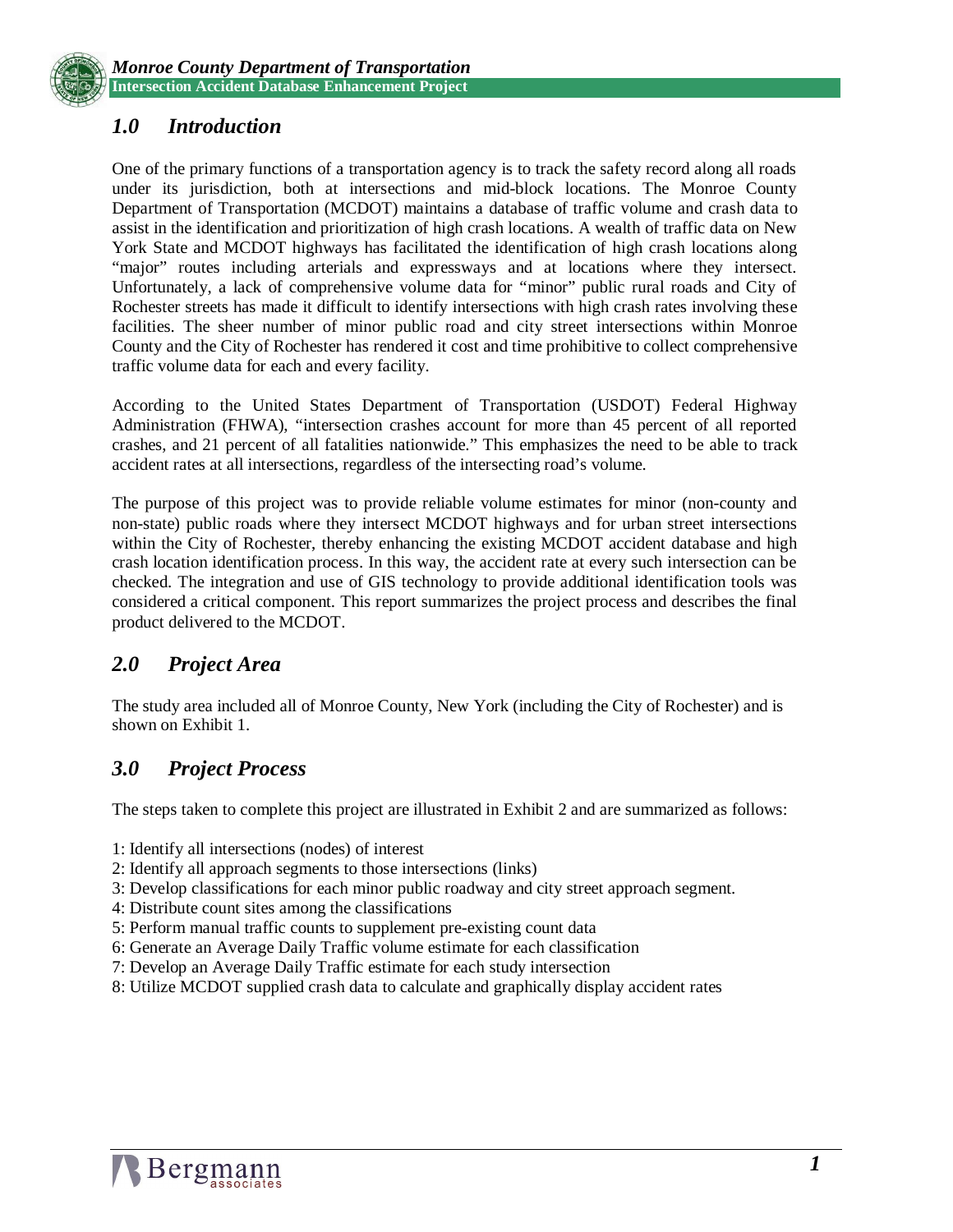

# *1.0 Introduction*

One of the primary functions of a transportation agency is to track the safety record along all roads under its jurisdiction, both at intersections and mid-block locations. The Monroe County Department of Transportation (MCDOT) maintains a database of traffic volume and crash data to assist in the identification and prioritization of high crash locations. A wealth of traffic data on New York State and MCDOT highways has facilitated the identification of high crash locations along "major" routes including arterials and expressways and at locations where they intersect. Unfortunately, a lack of comprehensive volume data for "minor" public rural roads and City of Rochester streets has made it difficult to identify intersections with high crash rates involving these facilities. The sheer number of minor public road and city street intersections within Monroe County and the City of Rochester has rendered it cost and time prohibitive to collect comprehensive traffic volume data for each and every facility.

According to the United States Department of Transportation (USDOT) Federal Highway Administration (FHWA), "intersection crashes account for more than 45 percent of all reported crashes, and 21 percent of all fatalities nationwide." This emphasizes the need to be able to track accident rates at all intersections, regardless of the intersecting road's volume.

The purpose of this project was to provide reliable volume estimates for minor (non-county and non-state) public roads where they intersect MCDOT highways and for urban street intersections within the City of Rochester, thereby enhancing the existing MCDOT accident database and high crash location identification process. In this way, the accident rate at every such intersection can be checked. The integration and use of GIS technology to provide additional identification tools was considered a critical component. This report summarizes the project process and describes the final product delivered to the MCDOT.

## *2.0 Project Area*

The study area included all of Monroe County, New York (including the City of Rochester) and is shown on Exhibit 1.

## *3.0 Project Process*

The steps taken to complete this project are illustrated in Exhibit 2 and are summarized as follows:

- 1: Identify all intersections (nodes) of interest
- 2: Identify all approach segments to those intersections (links)
- 3: Develop classifications for each minor public roadway and city street approach segment.
- 4: Distribute count sites among the classifications
- 5: Perform manual traffic counts to supplement pre-existing count data
- 6: Generate an Average Daily Traffic volume estimate for each classification
- 7: Develop an Average Daily Traffic estimate for each study intersection
- 8: Utilize MCDOT supplied crash data to calculate and graphically display accident rates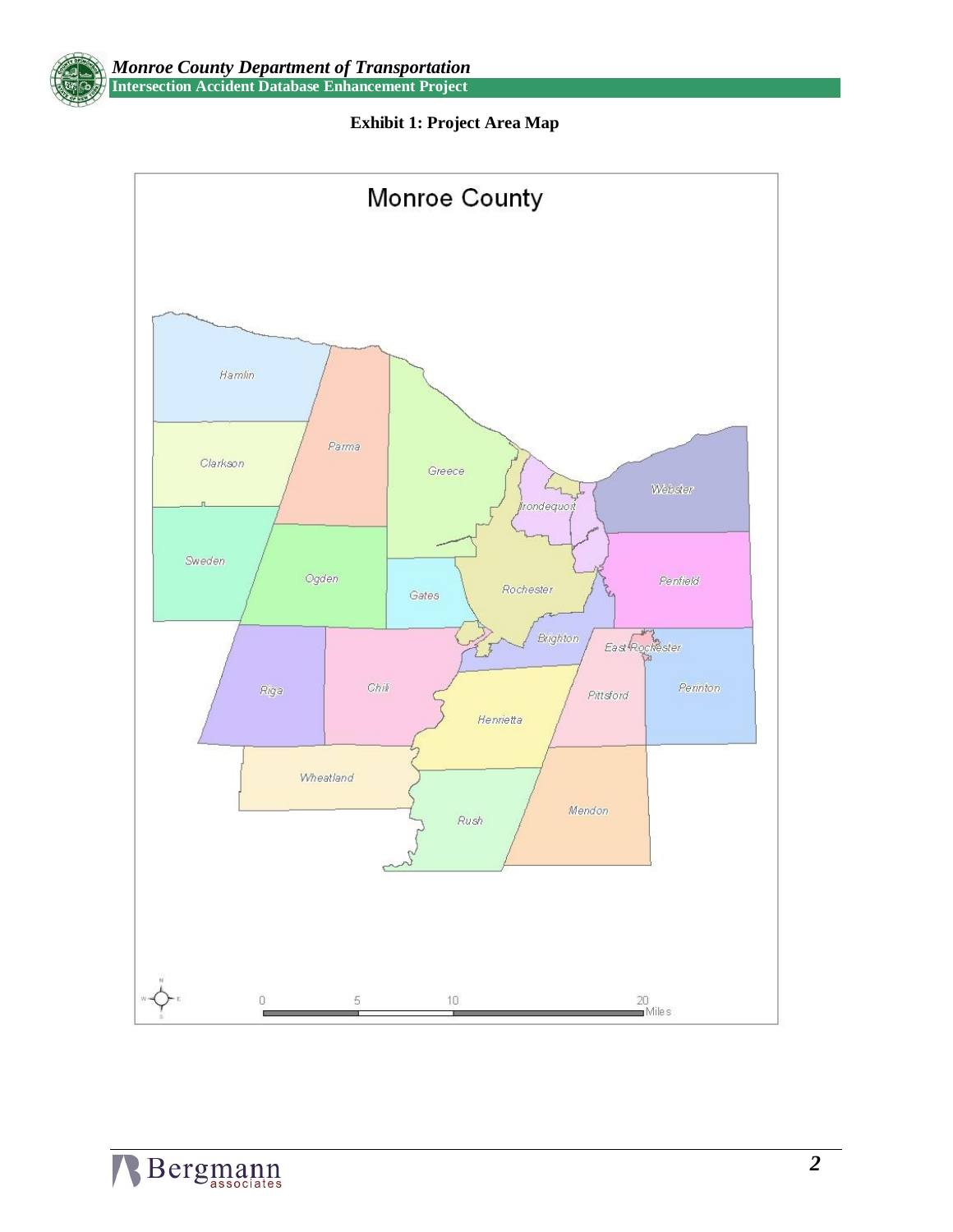



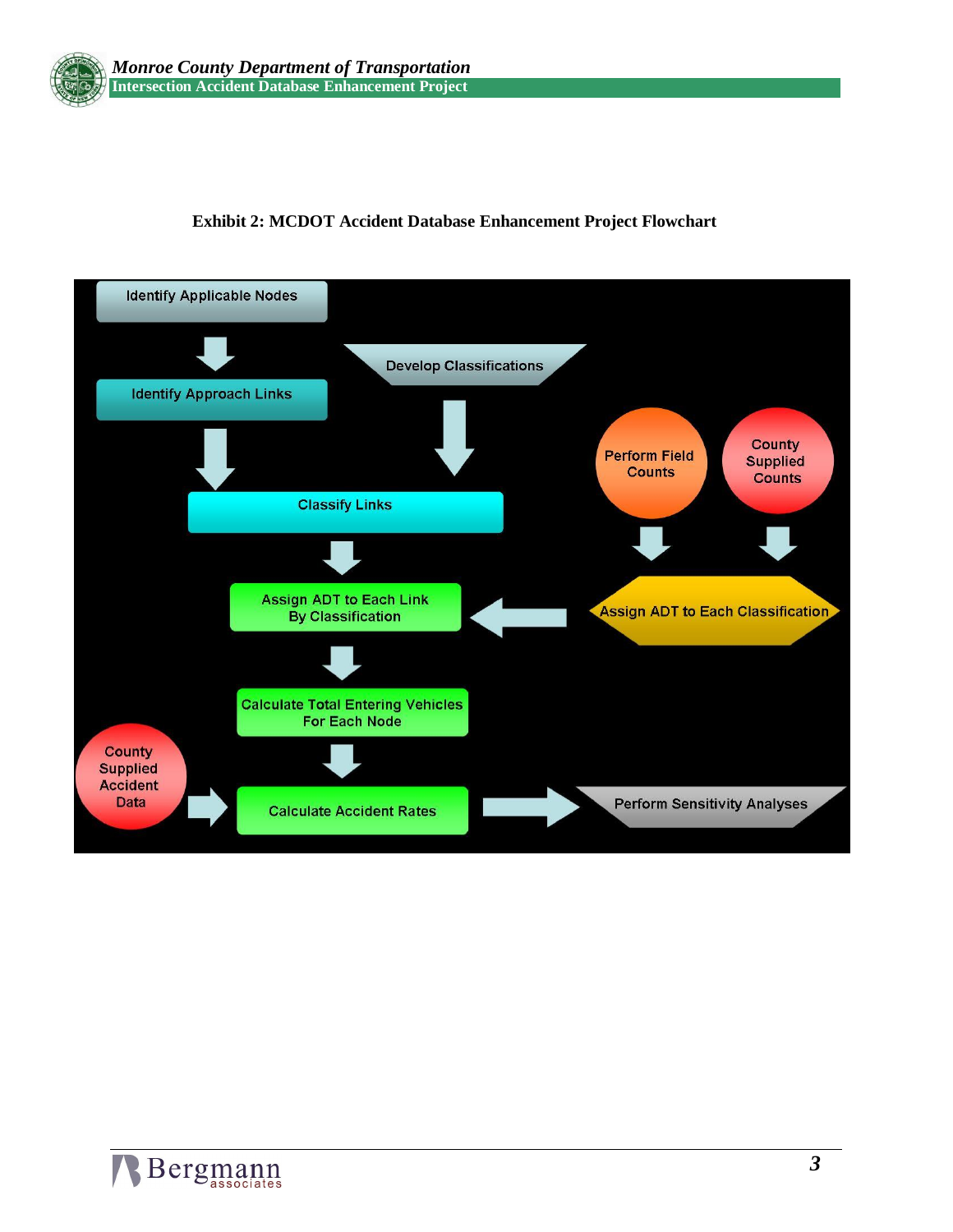

## **Exhibit 2: MCDOT Accident Database Enhancement Project Flowchart**

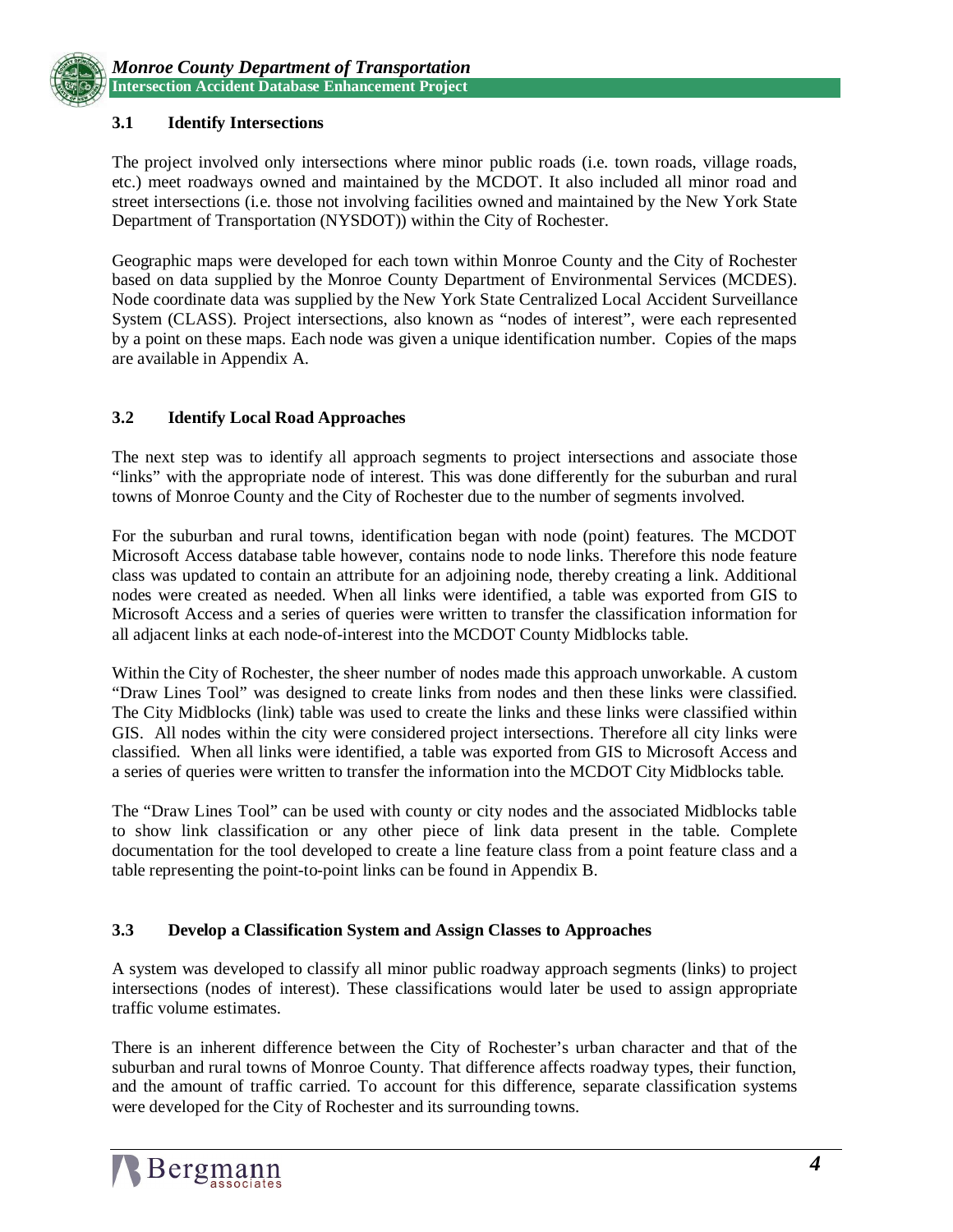

#### **3.1 Identify Intersections**

The project involved only intersections where minor public roads (i.e. town roads, village roads, etc.) meet roadways owned and maintained by the MCDOT. It also included all minor road and street intersections (i.e. those not involving facilities owned and maintained by the New York State Department of Transportation (NYSDOT)) within the City of Rochester.

Geographic maps were developed for each town within Monroe County and the City of Rochester based on data supplied by the Monroe County Department of Environmental Services (MCDES). Node coordinate data was supplied by the New York State Centralized Local Accident Surveillance System (CLASS). Project intersections, also known as "nodes of interest", were each represented by a point on these maps. Each node was given a unique identification number. Copies of the maps are available in Appendix A.

#### **3.2 Identify Local Road Approaches**

The next step was to identify all approach segments to project intersections and associate those "links" with the appropriate node of interest. This was done differently for the suburban and rural towns of Monroe County and the City of Rochester due to the number of segments involved.

For the suburban and rural towns, identification began with node (point) features. The MCDOT Microsoft Access database table however, contains node to node links. Therefore this node feature class was updated to contain an attribute for an adjoining node, thereby creating a link. Additional nodes were created as needed. When all links were identified, a table was exported from GIS to Microsoft Access and a series of queries were written to transfer the classification information for all adjacent links at each node-of-interest into the MCDOT County Midblocks table.

Within the City of Rochester, the sheer number of nodes made this approach unworkable. A custom "Draw Lines Tool" was designed to create links from nodes and then these links were classified. The City Midblocks (link) table was used to create the links and these links were classified within GIS. All nodes within the city were considered project intersections. Therefore all city links were classified. When all links were identified, a table was exported from GIS to Microsoft Access and a series of queries were written to transfer the information into the MCDOT City Midblocks table.

The "Draw Lines Tool" can be used with county or city nodes and the associated Midblocks table to show link classification or any other piece of link data present in the table. Complete documentation for the tool developed to create a line feature class from a point feature class and a table representing the point-to-point links can be found in Appendix B.

#### **3.3 Develop a Classification System and Assign Classes to Approaches**

A system was developed to classify all minor public roadway approach segments (links) to project intersections (nodes of interest). These classifications would later be used to assign appropriate traffic volume estimates.

There is an inherent difference between the City of Rochester's urban character and that of the suburban and rural towns of Monroe County. That difference affects roadway types, their function, and the amount of traffic carried. To account for this difference, separate classification systems were developed for the City of Rochester and its surrounding towns.

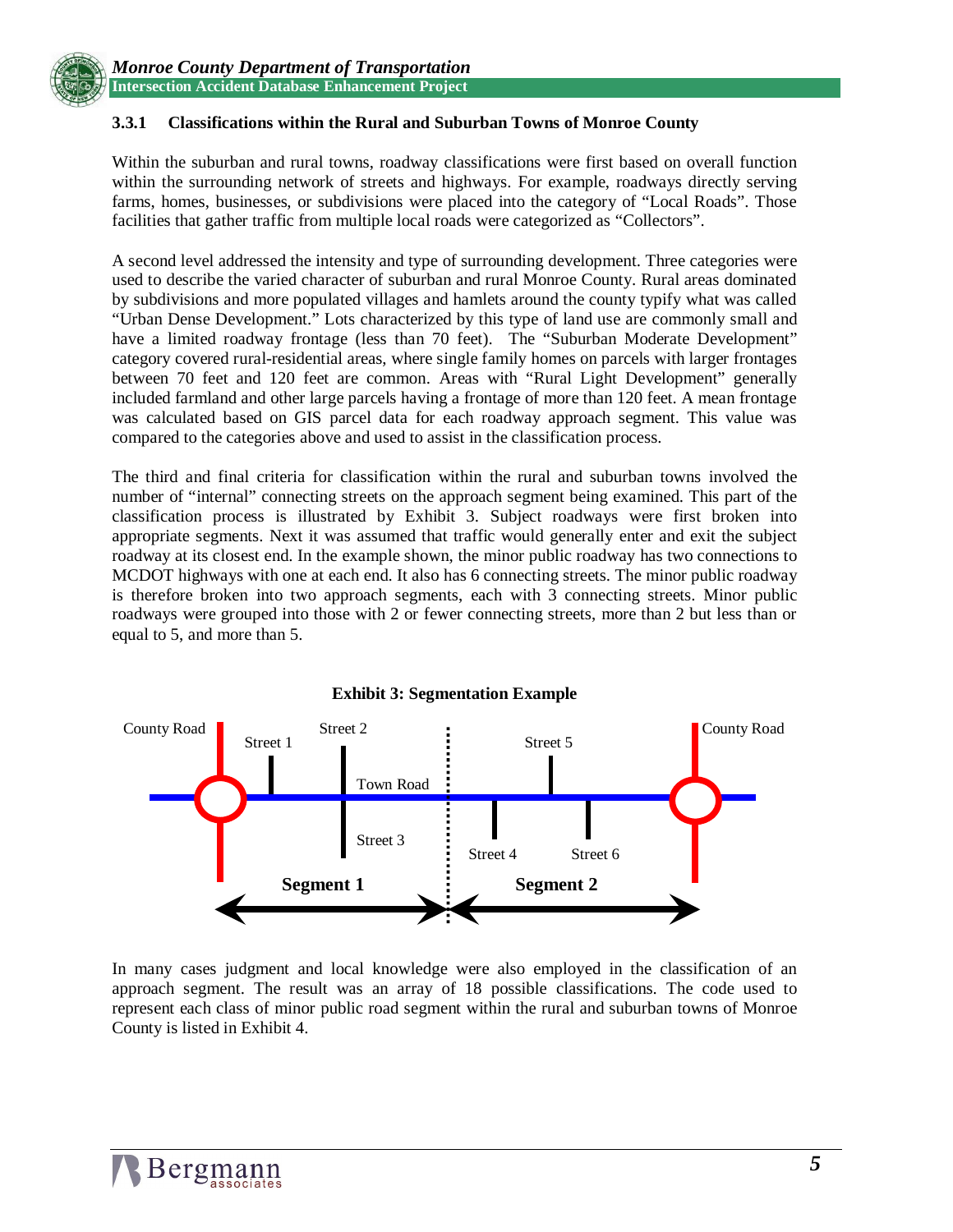

#### **3.3.1 Classifications within the Rural and Suburban Towns of Monroe County**

Within the suburban and rural towns, roadway classifications were first based on overall function within the surrounding network of streets and highways. For example, roadways directly serving farms, homes, businesses, or subdivisions were placed into the category of "Local Roads". Those facilities that gather traffic from multiple local roads were categorized as "Collectors".

A second level addressed the intensity and type of surrounding development. Three categories were used to describe the varied character of suburban and rural Monroe County. Rural areas dominated by subdivisions and more populated villages and hamlets around the county typify what was called "Urban Dense Development." Lots characterized by this type of land use are commonly small and have a limited roadway frontage (less than 70 feet). The "Suburban Moderate Development" category covered rural-residential areas, where single family homes on parcels with larger frontages between 70 feet and 120 feet are common. Areas with "Rural Light Development" generally included farmland and other large parcels having a frontage of more than 120 feet. A mean frontage was calculated based on GIS parcel data for each roadway approach segment. This value was compared to the categories above and used to assist in the classification process.

The third and final criteria for classification within the rural and suburban towns involved the number of "internal" connecting streets on the approach segment being examined. This part of the classification process is illustrated by Exhibit 3. Subject roadways were first broken into appropriate segments. Next it was assumed that traffic would generally enter and exit the subject roadway at its closest end. In the example shown, the minor public roadway has two connections to MCDOT highways with one at each end. It also has 6 connecting streets. The minor public roadway is therefore broken into two approach segments, each with 3 connecting streets. Minor public roadways were grouped into those with 2 or fewer connecting streets, more than 2 but less than or equal to 5, and more than 5.



In many cases judgment and local knowledge were also employed in the classification of an approach segment. The result was an array of 18 possible classifications. The code used to represent each class of minor public road segment within the rural and suburban towns of Monroe County is listed in Exhibit 4.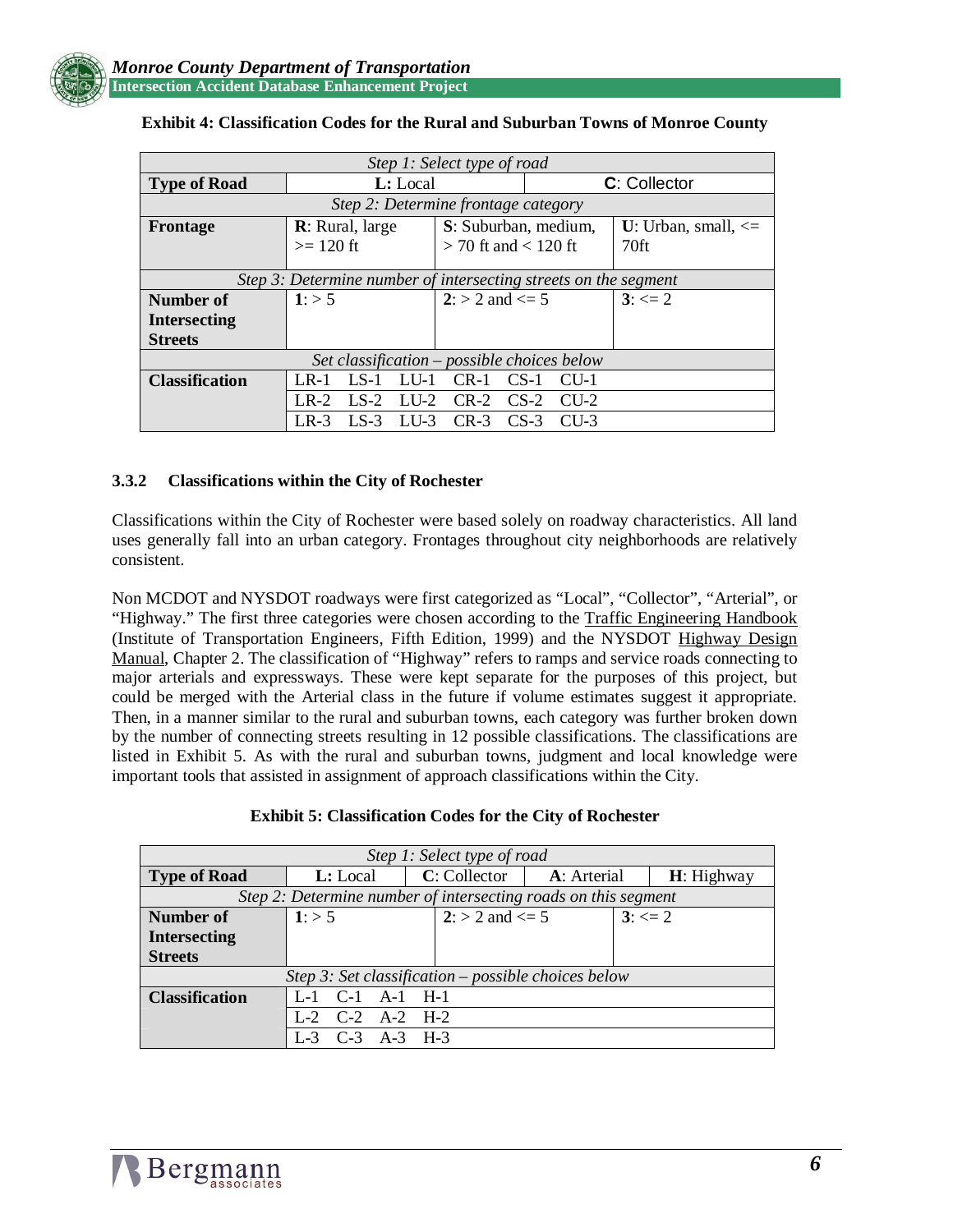

| Step 1: Select type of road                                     |                                                 |                          |                   |                         |  |  |  |
|-----------------------------------------------------------------|-------------------------------------------------|--------------------------|-------------------|-------------------------|--|--|--|
| <b>Type of Road</b>                                             | L: Local                                        |                          | C: Collector      |                         |  |  |  |
| Step 2: Determine frontage category                             |                                                 |                          |                   |                         |  |  |  |
| <b>Frontage</b>                                                 | <b>R</b> : Rural, large<br>S: Suburban, medium, |                          |                   | U: Urban, small, $\leq$ |  |  |  |
|                                                                 | $>= 120$ ft                                     | $>$ 70 ft and $<$ 120 ft |                   | 70ft                    |  |  |  |
|                                                                 |                                                 |                          |                   |                         |  |  |  |
| Step 3: Determine number of intersecting streets on the segment |                                                 |                          |                   |                         |  |  |  |
| Number of                                                       | 1: > 5                                          | $2: > 2$ and $\leq 5$    |                   | $3: \leq 2$             |  |  |  |
| <b>Intersecting</b>                                             |                                                 |                          |                   |                         |  |  |  |
| <b>Streets</b>                                                  |                                                 |                          |                   |                         |  |  |  |
| Set classification – possible choices below                     |                                                 |                          |                   |                         |  |  |  |
| <b>Classification</b>                                           | $LS-1$<br>$R-1$<br>LLL                          | $CR-1$                   | $CS-1$<br>$CLI-1$ |                         |  |  |  |
|                                                                 | $LS-2$<br>$LI$ -2<br>$R-2$                      | $CR-2$                   | $CS-2$<br>$CLL-2$ |                         |  |  |  |
|                                                                 | LLL <sub>3</sub><br>LR-3<br><b>LS-3</b>         | $CR-3$                   | $CS-3$<br>$CII-3$ |                         |  |  |  |

#### **Exhibit 4: Classification Codes for the Rural and Suburban Towns of Monroe County**

#### **3.3.2 Classifications within the City of Rochester**

Classifications within the City of Rochester were based solely on roadway characteristics. All land uses generally fall into an urban category. Frontages throughout city neighborhoods are relatively consistent.

Non MCDOT and NYSDOT roadways were first categorized as "Local", "Collector", "Arterial", or "Highway." The first three categories were chosen according to the Traffic Engineering Handbook (Institute of Transportation Engineers, Fifth Edition, 1999) and the NYSDOT Highway Design Manual, Chapter 2. The classification of "Highway" refers to ramps and service roads connecting to major arterials and expressways. These were kept separate for the purposes of this project, but could be merged with the Arterial class in the future if volume estimates suggest it appropriate. Then, in a manner similar to the rural and suburban towns, each category was further broken down by the number of connecting streets resulting in 12 possible classifications. The classifications are listed in Exhibit 5. As with the rural and suburban towns, judgment and local knowledge were important tools that assisted in assignment of approach classifications within the City.

#### **Exhibit 5: Classification Codes for the City of Rochester**

| Step 1: Select type of road                                    |                         |           |                   |             |             |              |  |
|----------------------------------------------------------------|-------------------------|-----------|-------------------|-------------|-------------|--------------|--|
| <b>Type of Road</b>                                            | L: Local                |           | C: Collector      | A: Arterial |             | $H:$ Highway |  |
| Step 2: Determine number of intersecting roads on this segment |                         |           |                   |             |             |              |  |
| Number of                                                      | 1: > 5                  |           | $2:$ > 2 and <= 5 |             | $3: \leq 2$ |              |  |
| <b>Intersecting</b>                                            |                         |           |                   |             |             |              |  |
| <b>Streets</b>                                                 |                         |           |                   |             |             |              |  |
| Step 3: Set classification – possible choices below            |                         |           |                   |             |             |              |  |
| <b>Classification</b>                                          | $L-1$ $C-1$ $A-1$ $H-1$ |           |                   |             |             |              |  |
|                                                                | $L-2$ $C-2$ $A-2$ $H-2$ |           |                   |             |             |              |  |
|                                                                | $C-3$                   | $A-3$ H-3 |                   |             |             |              |  |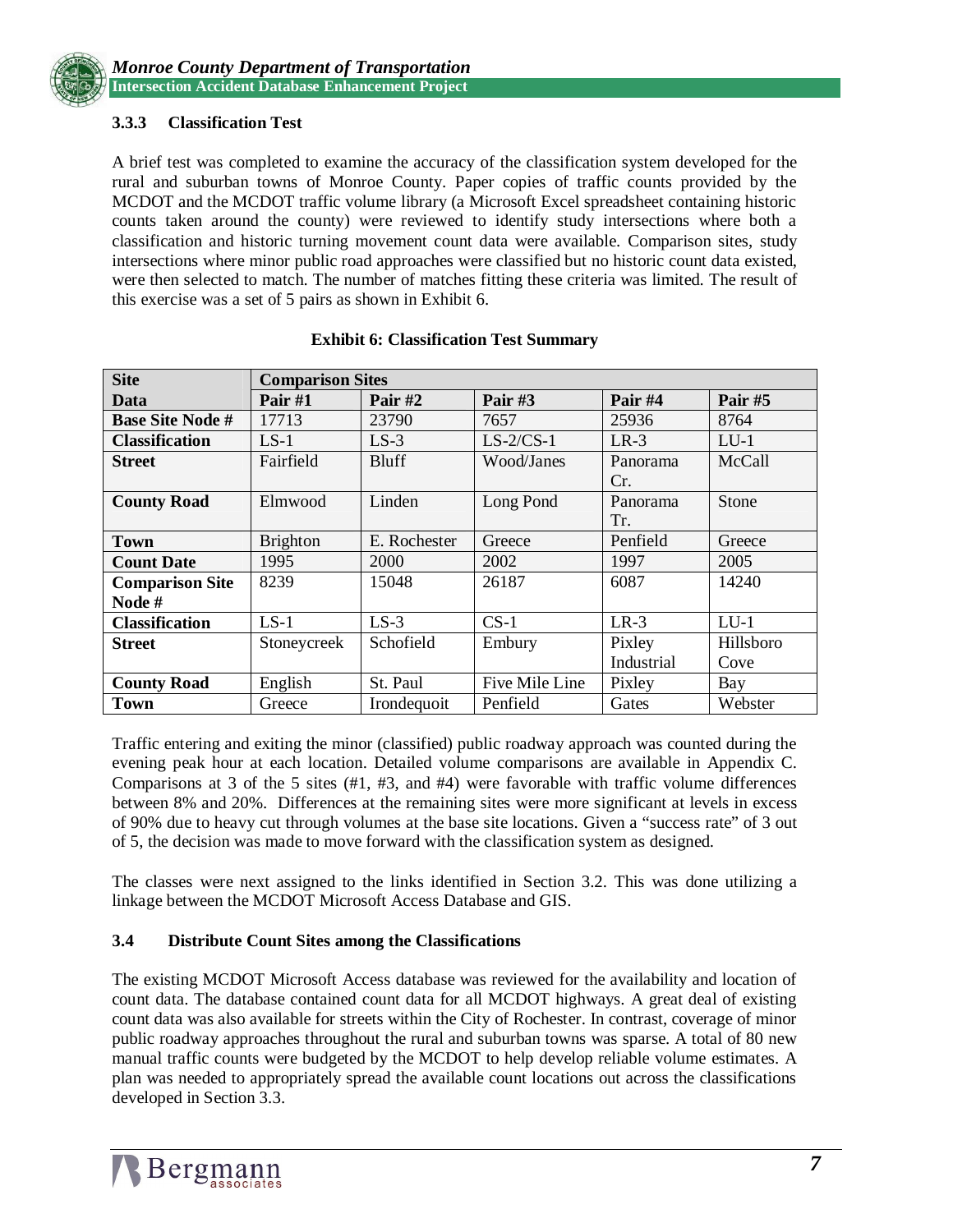#### **3.3.3 Classification Test**

A brief test was completed to examine the accuracy of the classification system developed for the rural and suburban towns of Monroe County. Paper copies of traffic counts provided by the MCDOT and the MCDOT traffic volume library (a Microsoft Excel spreadsheet containing historic counts taken around the county) were reviewed to identify study intersections where both a classification and historic turning movement count data were available. Comparison sites, study intersections where minor public road approaches were classified but no historic count data existed, were then selected to match. The number of matches fitting these criteria was limited. The result of this exercise was a set of 5 pairs as shown in Exhibit 6.

| <b>Site</b>             | <b>Comparison Sites</b> |              |                |            |           |  |
|-------------------------|-------------------------|--------------|----------------|------------|-----------|--|
| Data                    | Pair #1                 | Pair #2      | Pair $#3$      | Pair #4    | Pair #5   |  |
| <b>Base Site Node #</b> | 17713                   | 23790        | 7657           | 25936      | 8764      |  |
| <b>Classification</b>   | $LS-1$                  | $LS-3$       | $LS-2/CS-1$    | $LR-3$     | $LU-1$    |  |
| <b>Street</b>           | Fairfield               | <b>Bluff</b> | Wood/Janes     | Panorama   | McCall    |  |
|                         |                         |              |                | Cr.        |           |  |
| <b>County Road</b>      | Elmwood                 | Linden       | Long Pond      | Panorama   | Stone     |  |
|                         |                         |              |                | Tr.        |           |  |
| <b>Town</b>             | <b>Brighton</b>         | E. Rochester | Greece         | Penfield   | Greece    |  |
| <b>Count Date</b>       | 1995                    | 2000         | 2002           | 1997       | 2005      |  |
| <b>Comparison Site</b>  | 8239                    | 15048        | 26187          | 6087       | 14240     |  |
| Node#                   |                         |              |                |            |           |  |
| <b>Classification</b>   | $LS-1$                  | $LS-3$       | $CS-1$         | $LR-3$     | $LU-1$    |  |
| <b>Street</b>           | Stoneycreek             | Schofield    | Embury         | Pixley     | Hillsboro |  |
|                         |                         |              |                | Industrial | Cove      |  |
| <b>County Road</b>      | English                 | St. Paul     | Five Mile Line | Pixley     | Bay       |  |
| <b>Town</b>             | Greece                  | Irondequoit  | Penfield       | Gates      | Webster   |  |

#### **Exhibit 6: Classification Test Summary**

Traffic entering and exiting the minor (classified) public roadway approach was counted during the evening peak hour at each location. Detailed volume comparisons are available in Appendix C. Comparisons at 3 of the 5 sites  $(H1, H3,$  and  $H4)$  were favorable with traffic volume differences between 8% and 20%. Differences at the remaining sites were more significant at levels in excess of 90% due to heavy cut through volumes at the base site locations. Given a "success rate" of 3 out of 5, the decision was made to move forward with the classification system as designed.

The classes were next assigned to the links identified in Section 3.2. This was done utilizing a linkage between the MCDOT Microsoft Access Database and GIS.

#### **3.4 Distribute Count Sites among the Classifications**

The existing MCDOT Microsoft Access database was reviewed for the availability and location of count data. The database contained count data for all MCDOT highways. A great deal of existing count data was also available for streets within the City of Rochester. In contrast, coverage of minor public roadway approaches throughout the rural and suburban towns was sparse. A total of 80 new manual traffic counts were budgeted by the MCDOT to help develop reliable volume estimates. A plan was needed to appropriately spread the available count locations out across the classifications developed in Section 3.3.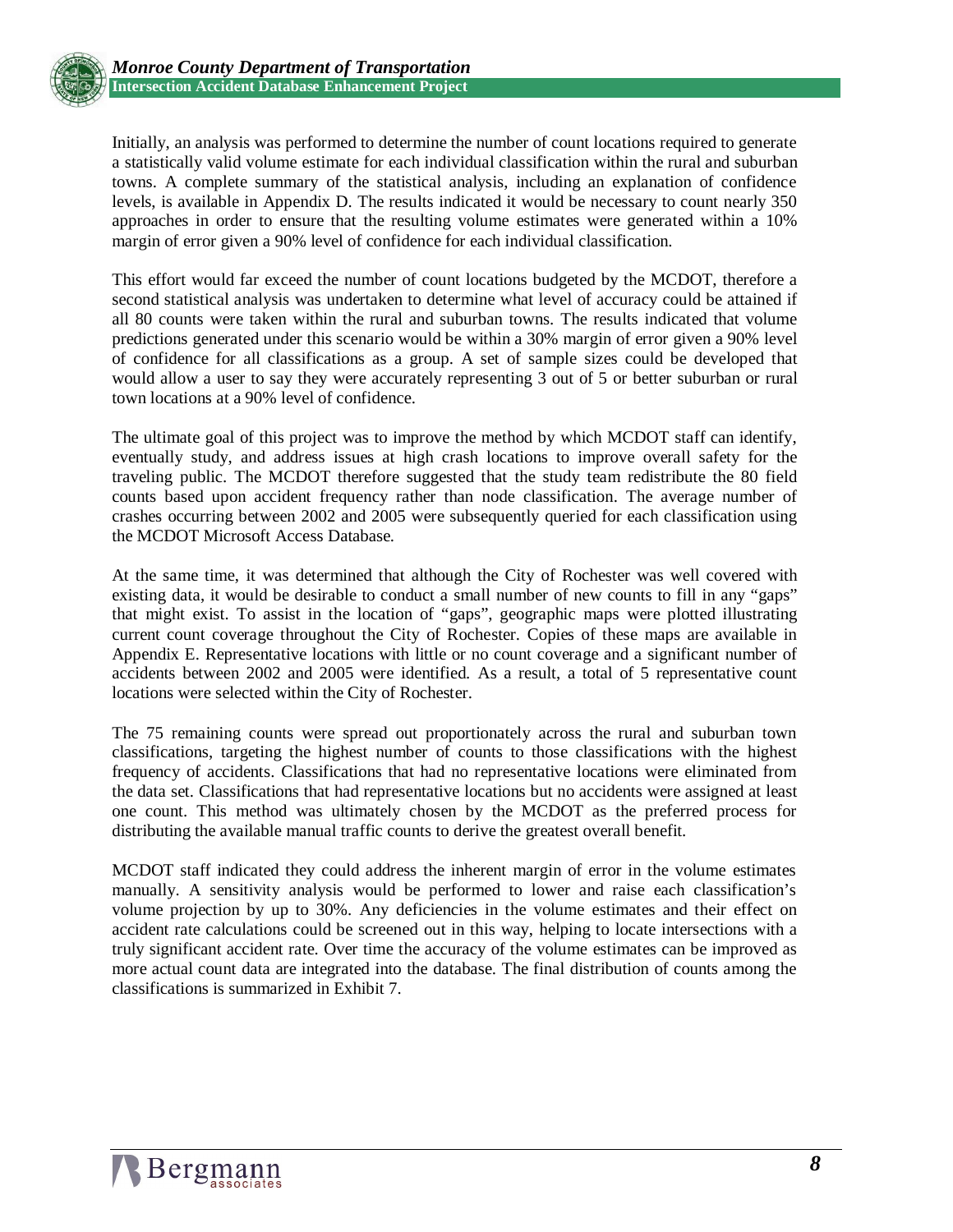

Initially, an analysis was performed to determine the number of count locations required to generate a statistically valid volume estimate for each individual classification within the rural and suburban towns. A complete summary of the statistical analysis, including an explanation of confidence levels, is available in Appendix D. The results indicated it would be necessary to count nearly 350 approaches in order to ensure that the resulting volume estimates were generated within a 10% margin of error given a 90% level of confidence for each individual classification.

This effort would far exceed the number of count locations budgeted by the MCDOT, therefore a second statistical analysis was undertaken to determine what level of accuracy could be attained if all 80 counts were taken within the rural and suburban towns. The results indicated that volume predictions generated under this scenario would be within a 30% margin of error given a 90% level of confidence for all classifications as a group. A set of sample sizes could be developed that would allow a user to say they were accurately representing 3 out of 5 or better suburban or rural town locations at a 90% level of confidence.

The ultimate goal of this project was to improve the method by which MCDOT staff can identify, eventually study, and address issues at high crash locations to improve overall safety for the traveling public. The MCDOT therefore suggested that the study team redistribute the 80 field counts based upon accident frequency rather than node classification. The average number of crashes occurring between 2002 and 2005 were subsequently queried for each classification using the MCDOT Microsoft Access Database.

At the same time, it was determined that although the City of Rochester was well covered with existing data, it would be desirable to conduct a small number of new counts to fill in any "gaps" that might exist. To assist in the location of "gaps", geographic maps were plotted illustrating current count coverage throughout the City of Rochester. Copies of these maps are available in Appendix E. Representative locations with little or no count coverage and a significant number of accidents between 2002 and 2005 were identified. As a result, a total of 5 representative count locations were selected within the City of Rochester.

The 75 remaining counts were spread out proportionately across the rural and suburban town classifications, targeting the highest number of counts to those classifications with the highest frequency of accidents. Classifications that had no representative locations were eliminated from the data set. Classifications that had representative locations but no accidents were assigned at least one count. This method was ultimately chosen by the MCDOT as the preferred process for distributing the available manual traffic counts to derive the greatest overall benefit.

MCDOT staff indicated they could address the inherent margin of error in the volume estimates manually. A sensitivity analysis would be performed to lower and raise each classification's volume projection by up to 30%. Any deficiencies in the volume estimates and their effect on accident rate calculations could be screened out in this way, helping to locate intersections with a truly significant accident rate. Over time the accuracy of the volume estimates can be improved as more actual count data are integrated into the database. The final distribution of counts among the classifications is summarized in Exhibit 7.

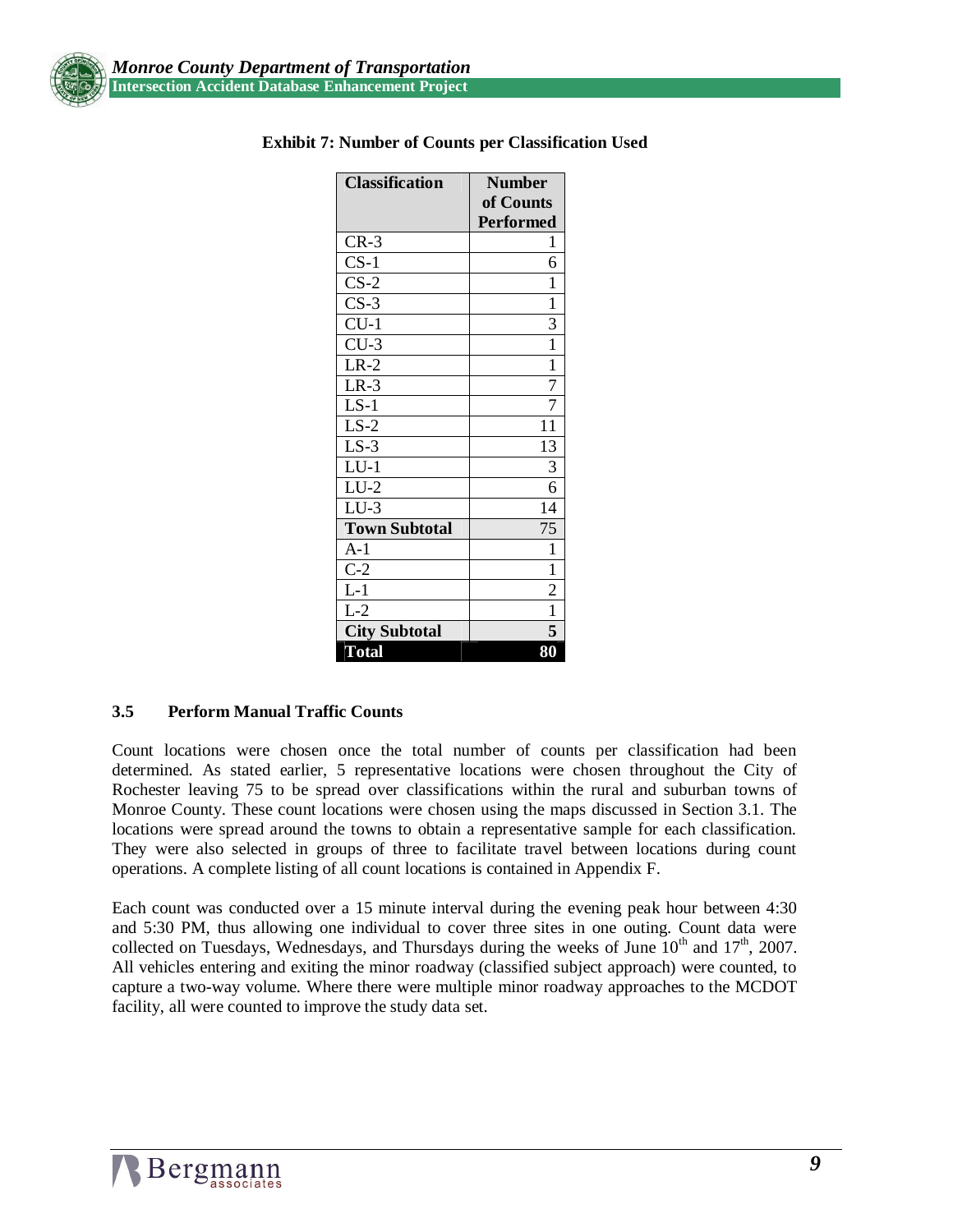

| <b>Classification</b>   | <b>Number</b>    |
|-------------------------|------------------|
|                         | of Counts        |
|                         | <b>Performed</b> |
| $CR-3$                  | 1                |
| $CS-1$                  | 6                |
| $CS-2$                  | 1                |
| $CS-3$                  | 1                |
| $CU-1$                  | 3                |
| $CU-3$                  | $\mathbf{1}$     |
| $LR-2$                  | $\mathbf{1}$     |
| $LR-3$                  | $\overline{7}$   |
| $LS-1$                  | 7                |
| $LS-2$                  | 11               |
| $LS-3$                  | 13               |
| $LU-1$                  | 3                |
| $LU-2$                  | 6                |
| $LU-3$                  | 14               |
| <b>Town Subtotal</b>    | 75               |
| $A-1$                   | 1                |
| $C-2$                   | $\mathbf{1}$     |
| $L-1$                   | $\overline{c}$   |
| $\overline{\text{L-2}}$ | $\overline{1}$   |
| <b>City Subtotal</b>    | 5                |
| <b>Total</b>            | 80               |

#### **Exhibit 7: Number of Counts per Classification Used**

#### **3.5 Perform Manual Traffic Counts**

Count locations were chosen once the total number of counts per classification had been determined. As stated earlier, 5 representative locations were chosen throughout the City of Rochester leaving 75 to be spread over classifications within the rural and suburban towns of Monroe County. These count locations were chosen using the maps discussed in Section 3.1. The locations were spread around the towns to obtain a representative sample for each classification. They were also selected in groups of three to facilitate travel between locations during count operations. A complete listing of all count locations is contained in Appendix F.

Each count was conducted over a 15 minute interval during the evening peak hour between 4:30 and 5:30 PM, thus allowing one individual to cover three sites in one outing. Count data were collected on Tuesdays, Wednesdays, and Thursdays during the weeks of June  $10^{th}$  and  $17^{th}$ , 2007. All vehicles entering and exiting the minor roadway (classified subject approach) were counted, to capture a two-way volume. Where there were multiple minor roadway approaches to the MCDOT facility, all were counted to improve the study data set.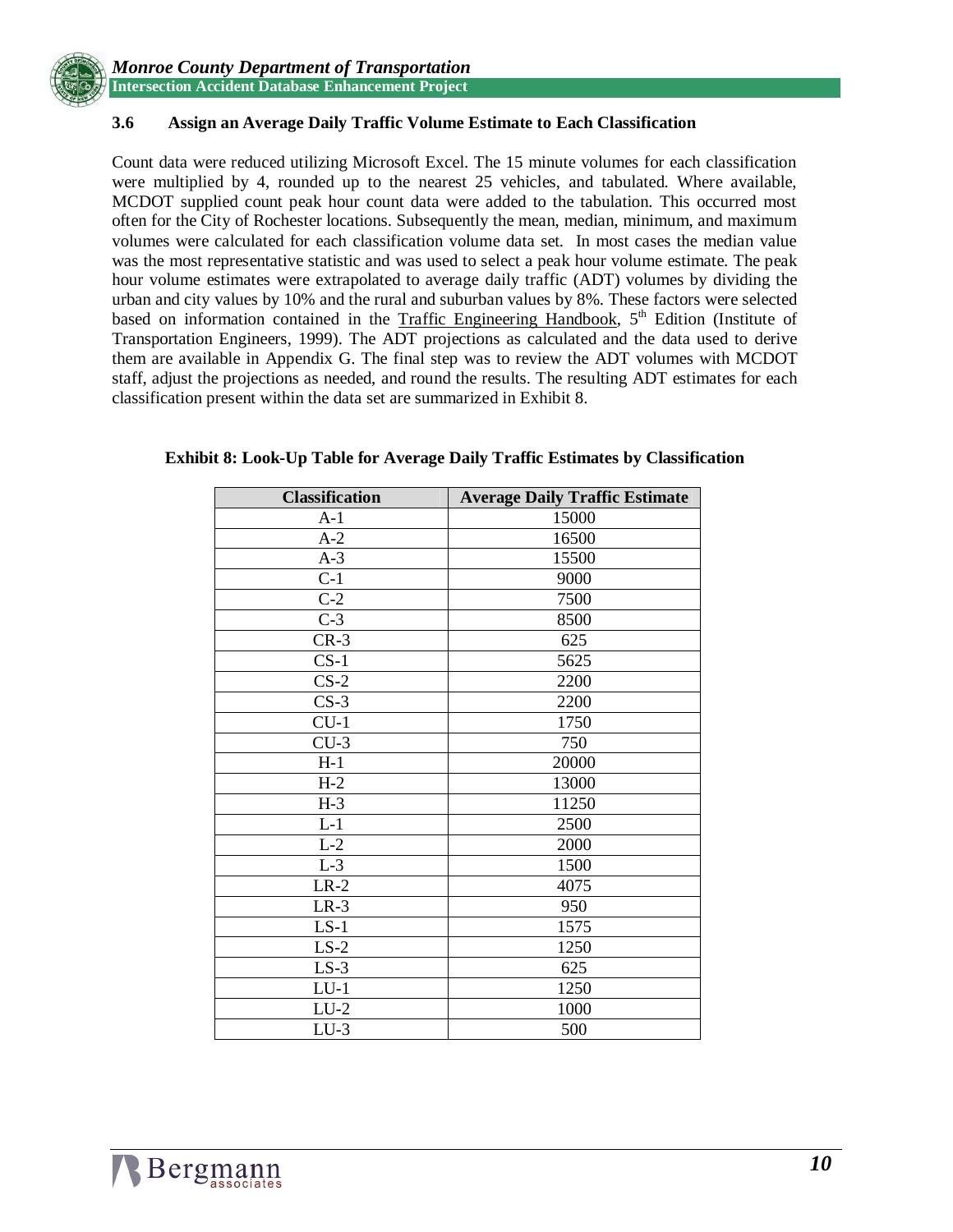

#### **3.6 Assign an Average Daily Traffic Volume Estimate to Each Classification**

Count data were reduced utilizing Microsoft Excel. The 15 minute volumes for each classification were multiplied by 4, rounded up to the nearest 25 vehicles, and tabulated. Where available, MCDOT supplied count peak hour count data were added to the tabulation. This occurred most often for the City of Rochester locations. Subsequently the mean, median, minimum, and maximum volumes were calculated for each classification volume data set. In most cases the median value was the most representative statistic and was used to select a peak hour volume estimate. The peak hour volume estimates were extrapolated to average daily traffic (ADT) volumes by dividing the urban and city values by 10% and the rural and suburban values by 8%. These factors were selected based on information contained in the Traffic Engineering Handbook,  $5<sup>th</sup>$  Edition (Institute of Transportation Engineers, 1999). The ADT projections as calculated and the data used to derive them are available in Appendix G. The final step was to review the ADT volumes with MCDOT staff, adjust the projections as needed, and round the results. The resulting ADT estimates for each classification present within the data set are summarized in Exhibit 8.

| <b>Classification</b> | <b>Average Daily Traffic Estimate</b> |
|-----------------------|---------------------------------------|
| $A-1$                 | 15000                                 |
| $A-2$                 | 16500                                 |
| $A-3$                 | 15500                                 |
| $C-1$                 | 9000                                  |
| $C-2$                 | 7500                                  |
| $C-3$                 | 8500                                  |
| $CR-3$                | 625                                   |
| $CS-1$                | 5625                                  |
| $CS-2$                | 2200                                  |
| $CS-3$                | 2200                                  |
| $CU-1$                | 1750                                  |
| $CU-3$                | 750                                   |
| $H-1$                 | 20000                                 |
| $H-2$                 | 13000                                 |
| $H-3$                 | 11250                                 |
| $L-1$                 | 2500                                  |
| $L-2$                 | 2000                                  |
| $L-3$                 | 1500                                  |
| $LR-2$                | 4075                                  |
| $LR-3$                | 950                                   |
| $LS-1$                | 1575                                  |
| $LS-2$                | 1250                                  |
| $LS-3$                | 625                                   |
| $LU-1$                | 1250                                  |
| $LU-2$                | 1000                                  |
| $LU-3$                | 500                                   |

#### **Exhibit 8: Look-Up Table for Average Daily Traffic Estimates by Classification**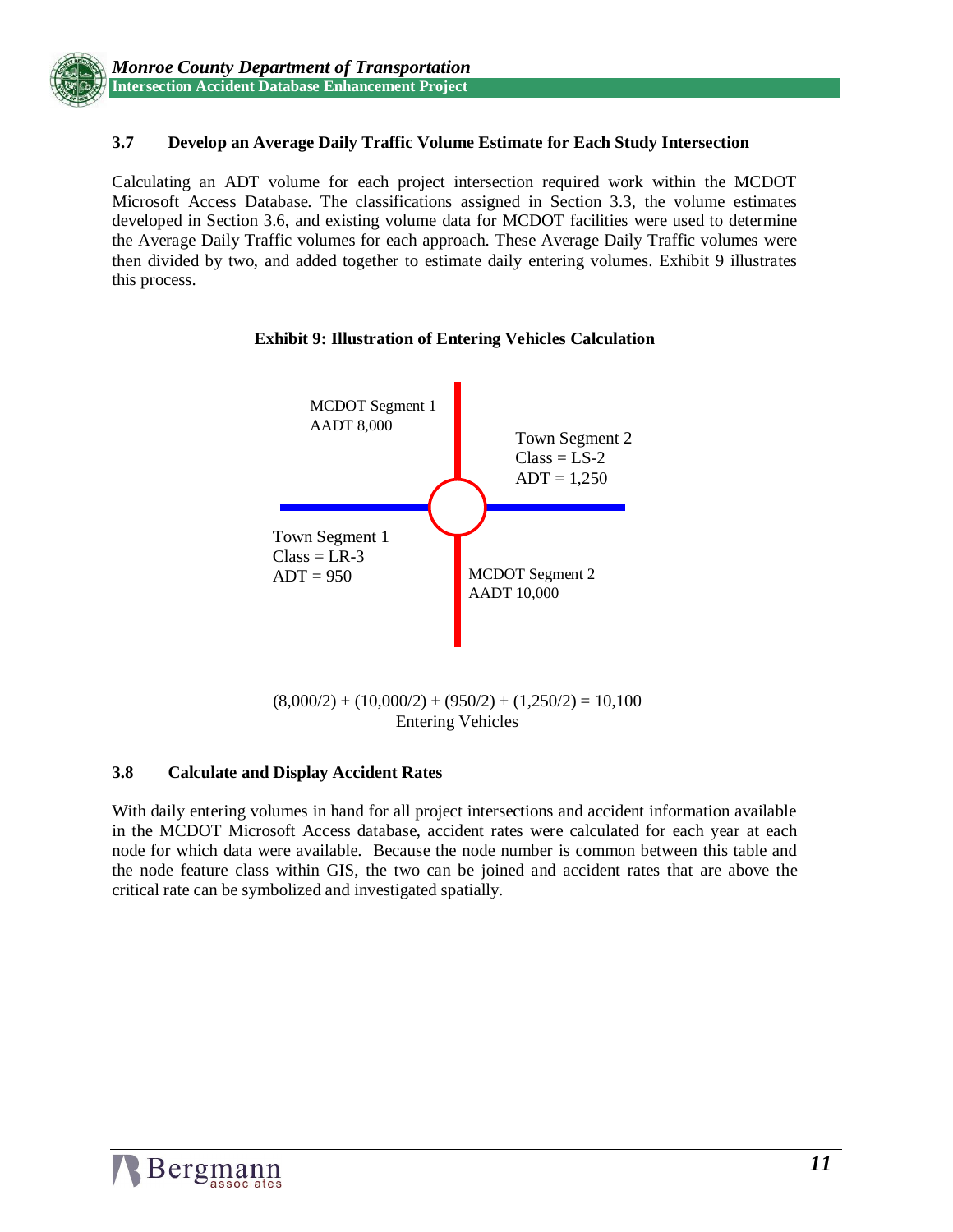#### **3.7 Develop an Average Daily Traffic Volume Estimate for Each Study Intersection**

Calculating an ADT volume for each project intersection required work within the MCDOT Microsoft Access Database. The classifications assigned in Section 3.3, the volume estimates developed in Section 3.6, and existing volume data for MCDOT facilities were used to determine the Average Daily Traffic volumes for each approach. These Average Daily Traffic volumes were then divided by two, and added together to estimate daily entering volumes. Exhibit 9 illustrates this process.



#### **Exhibit 9: Illustration of Entering Vehicles Calculation**

#### **3.8 Calculate and Display Accident Rates**

With daily entering volumes in hand for all project intersections and accident information available in the MCDOT Microsoft Access database, accident rates were calculated for each year at each node for which data were available. Because the node number is common between this table and the node feature class within GIS, the two can be joined and accident rates that are above the critical rate can be symbolized and investigated spatially.

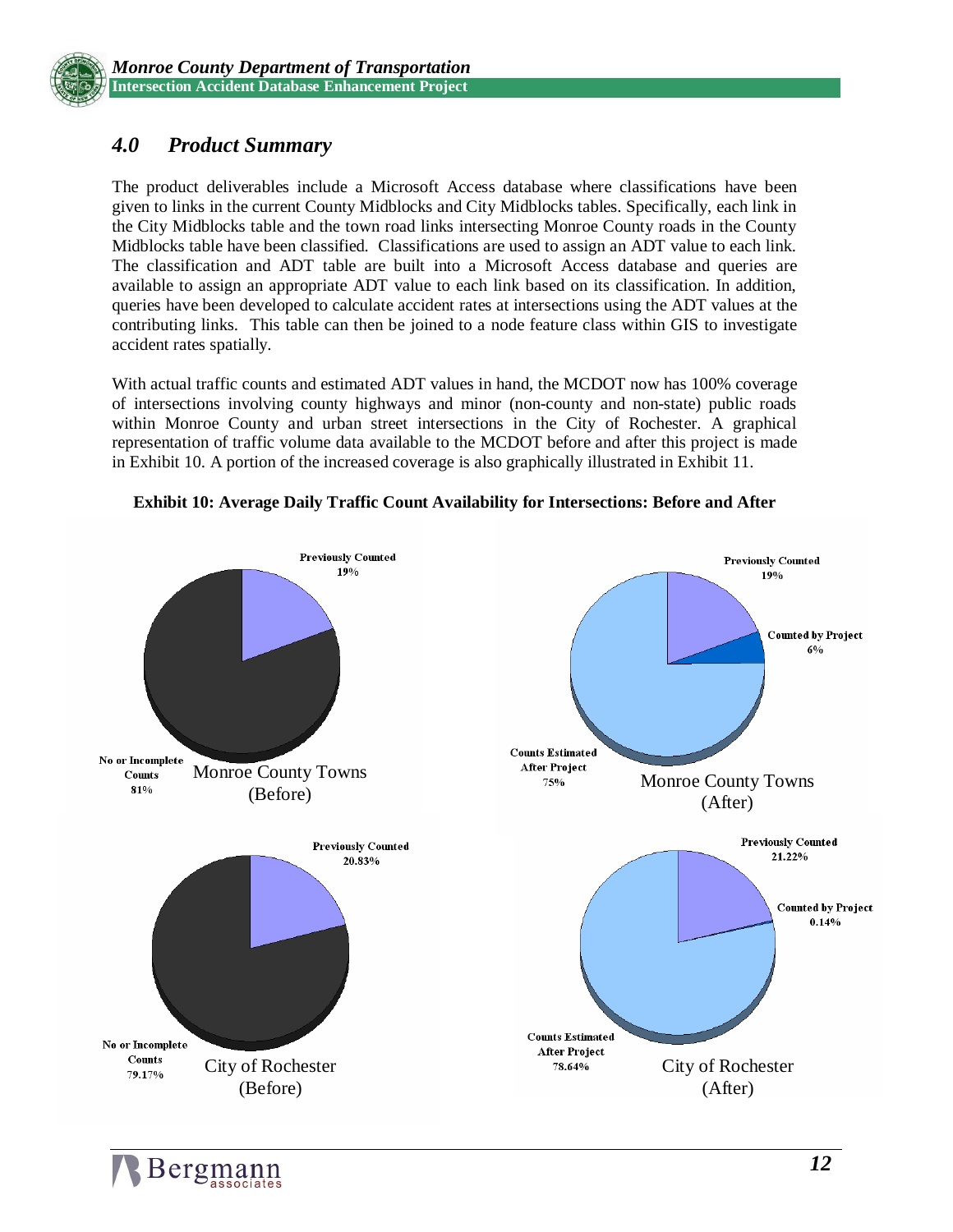

## *4.0 Product Summary*

The product deliverables include a Microsoft Access database where classifications have been given to links in the current County Midblocks and City Midblocks tables. Specifically, each link in the City Midblocks table and the town road links intersecting Monroe County roads in the County Midblocks table have been classified. Classifications are used to assign an ADT value to each link. The classification and ADT table are built into a Microsoft Access database and queries are available to assign an appropriate ADT value to each link based on its classification. In addition, queries have been developed to calculate accident rates at intersections using the ADT values at the contributing links. This table can then be joined to a node feature class within GIS to investigate accident rates spatially.

With actual traffic counts and estimated ADT values in hand, the MCDOT now has 100% coverage of intersections involving county highways and minor (non-county and non-state) public roads within Monroe County and urban street intersections in the City of Rochester. A graphical representation of traffic volume data available to the MCDOT before and after this project is made in Exhibit 10. A portion of the increased coverage is also graphically illustrated in Exhibit 11.



**Exhibit 10: Average Daily Traffic Count Availability for Intersections: Before and After**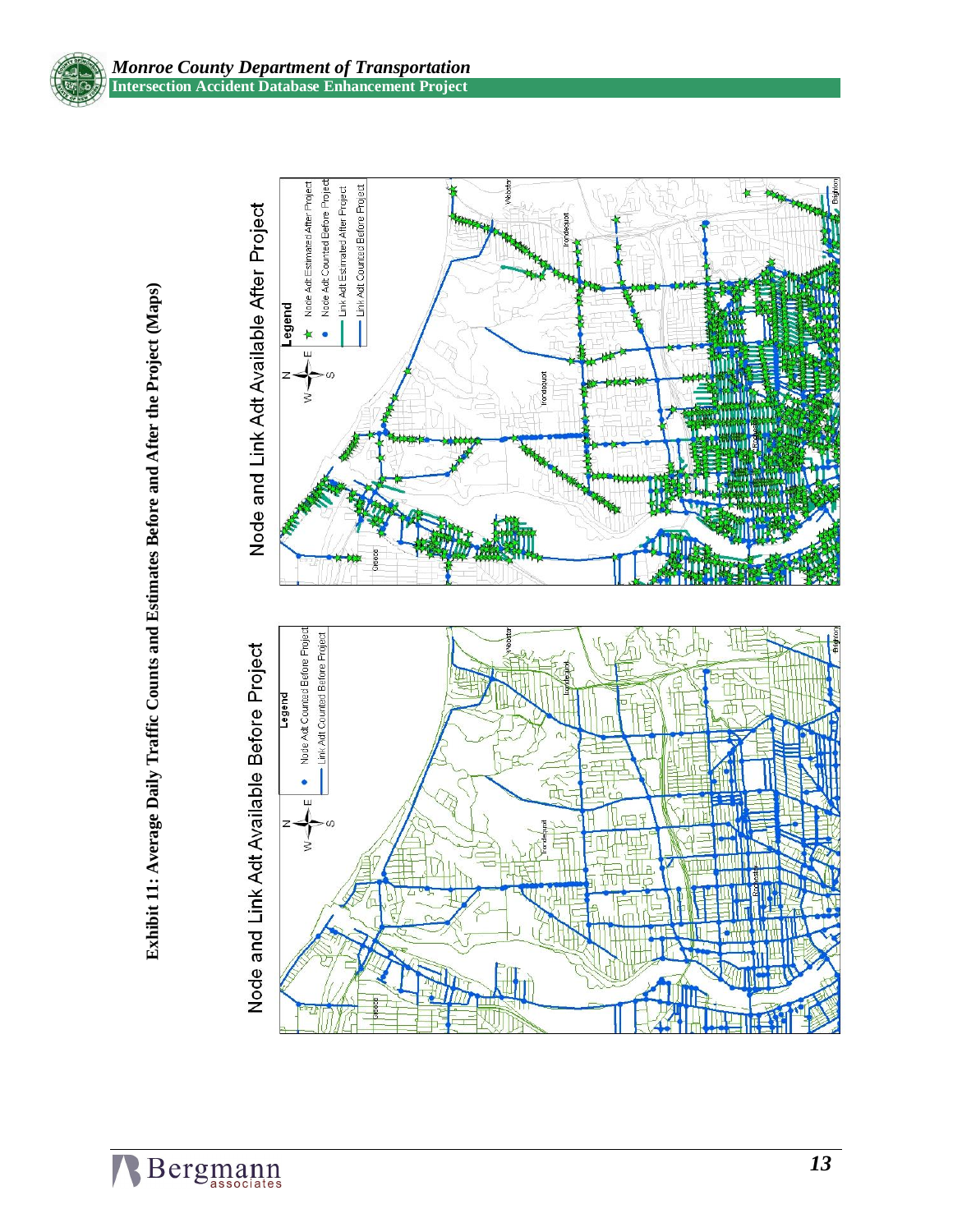

Exhibit 11: Average Daily Traffic Counts and Estimates Before and After the Project (Maps) **Exhibit 11: Average Daily Traffic Counts and Estimates Before and After the Project (Maps)**



# Node and Link Adt Available Before Project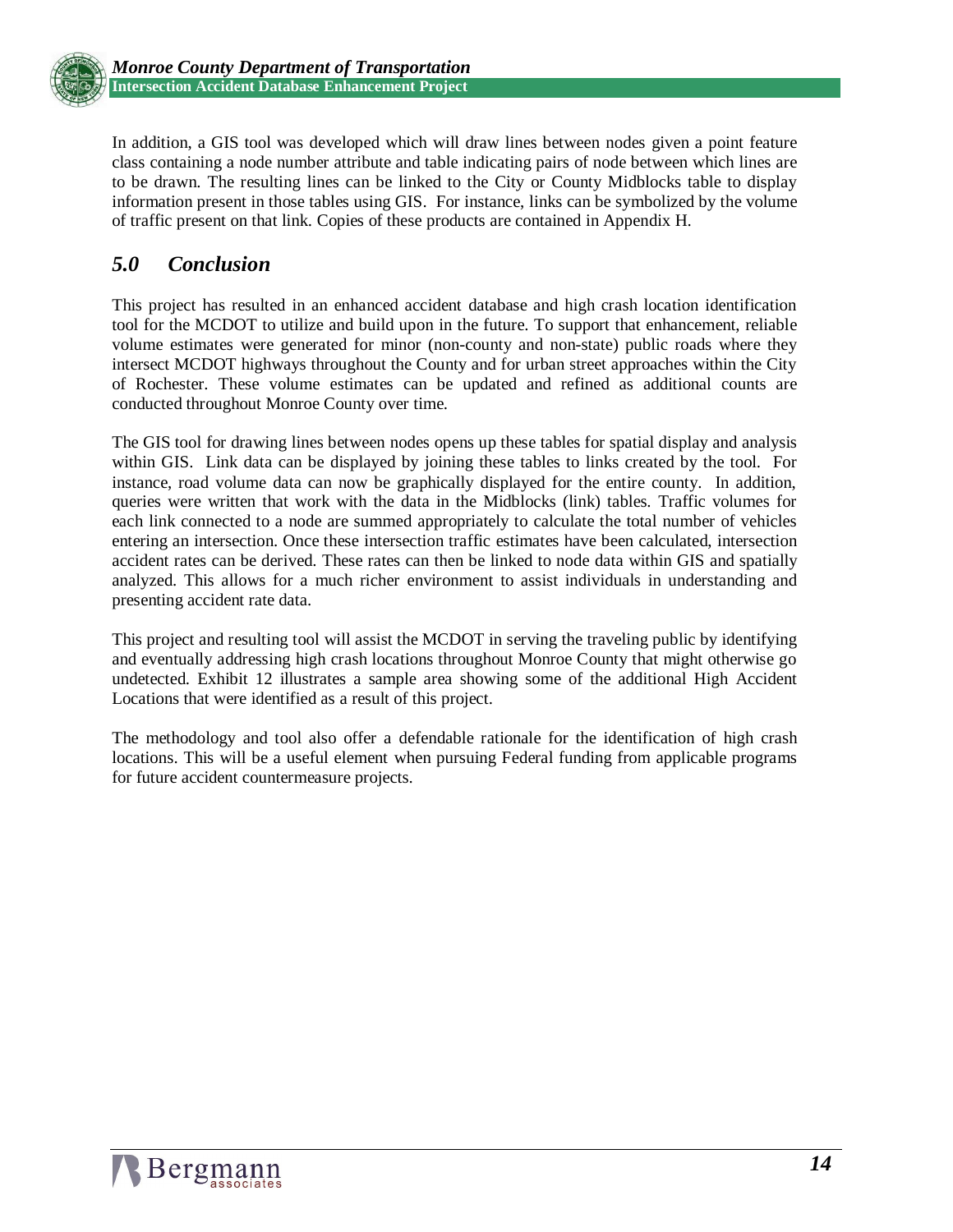

In addition, a GIS tool was developed which will draw lines between nodes given a point feature class containing a node number attribute and table indicating pairs of node between which lines are to be drawn. The resulting lines can be linked to the City or County Midblocks table to display information present in those tables using GIS. For instance, links can be symbolized by the volume of traffic present on that link. Copies of these products are contained in Appendix H.

## *5.0 Conclusion*

This project has resulted in an enhanced accident database and high crash location identification tool for the MCDOT to utilize and build upon in the future. To support that enhancement, reliable volume estimates were generated for minor (non-county and non-state) public roads where they intersect MCDOT highways throughout the County and for urban street approaches within the City of Rochester. These volume estimates can be updated and refined as additional counts are conducted throughout Monroe County over time.

The GIS tool for drawing lines between nodes opens up these tables for spatial display and analysis within GIS. Link data can be displayed by joining these tables to links created by the tool. For instance, road volume data can now be graphically displayed for the entire county. In addition, queries were written that work with the data in the Midblocks (link) tables. Traffic volumes for each link connected to a node are summed appropriately to calculate the total number of vehicles entering an intersection. Once these intersection traffic estimates have been calculated, intersection accident rates can be derived. These rates can then be linked to node data within GIS and spatially analyzed. This allows for a much richer environment to assist individuals in understanding and presenting accident rate data.

This project and resulting tool will assist the MCDOT in serving the traveling public by identifying and eventually addressing high crash locations throughout Monroe County that might otherwise go undetected. Exhibit 12 illustrates a sample area showing some of the additional High Accident Locations that were identified as a result of this project.

The methodology and tool also offer a defendable rationale for the identification of high crash locations. This will be a useful element when pursuing Federal funding from applicable programs for future accident countermeasure projects.